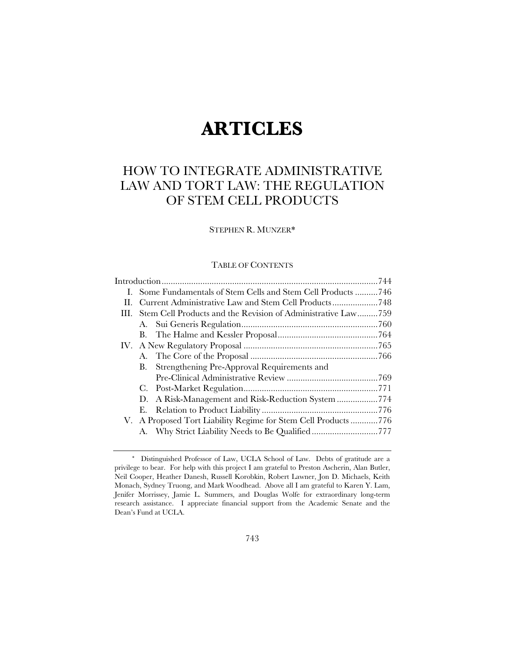# **ARTICLES**

# HOW TO INTEGRATE ADMINISTRATIVE LAW AND TORT LAW: THE REGULATION OF STEM CELL PRODUCTS

# STEPHEN R. MUNZER\*

# TABLE OF CONTENTS

|     | I. Some Fundamentals of Stem Cells and Stem Cell Products 746 |  |  |  |
|-----|---------------------------------------------------------------|--|--|--|
| Н.  |                                                               |  |  |  |
| HL. | Stem Cell Products and the Revision of Administrative Law759  |  |  |  |
|     |                                                               |  |  |  |
|     |                                                               |  |  |  |
|     |                                                               |  |  |  |
|     |                                                               |  |  |  |
|     | Strengthening Pre-Approval Requirements and<br>В.             |  |  |  |
|     |                                                               |  |  |  |
|     |                                                               |  |  |  |
|     | D.                                                            |  |  |  |
|     | Е.                                                            |  |  |  |
|     | V. A Proposed Tort Liability Regime for Stem Cell Products776 |  |  |  |
|     |                                                               |  |  |  |
|     |                                                               |  |  |  |

 <sup>\*</sup> Distinguished Professor of Law, UCLA School of Law. Debts of gratitude are a privilege to bear. For help with this project I am grateful to Preston Ascherin, Alan Butler, Neil Cooper, Heather Danesh, Russell Korobkin, Robert Lawner, Jon D. Michaels, Keith Monach, Sydney Truong, and Mark Woodhead. Above all I am grateful to Karen Y. Lam, Jenifer Morrissey, Jamie L. Summers, and Douglas Wolfe for extraordinary long-term research assistance. I appreciate financial support from the Academic Senate and the Dean's Fund at UCLA.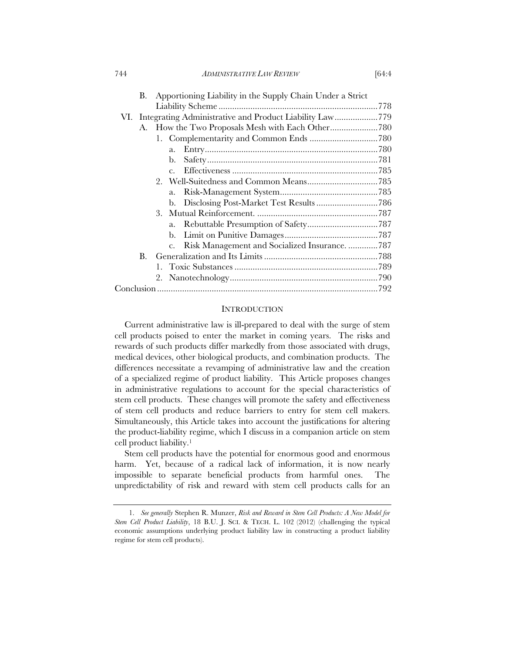744 *ADMINISTRATIVE LAW REVIEW* [64:4

|    | <b>B.</b> | Apportioning Liability in the Supply Chain Under a Strict       |  |
|----|-----------|-----------------------------------------------------------------|--|
|    |           |                                                                 |  |
|    |           | VI. Integrating Administrative and Product Liability Law779     |  |
|    | А.        |                                                                 |  |
|    |           |                                                                 |  |
|    |           | a.                                                              |  |
|    |           |                                                                 |  |
|    |           | $c_{\cdot}$                                                     |  |
|    |           |                                                                 |  |
|    |           |                                                                 |  |
|    |           |                                                                 |  |
|    |           |                                                                 |  |
|    |           |                                                                 |  |
|    |           |                                                                 |  |
|    |           | Risk Management and Socialized Insurance. 787<br>$\mathbf{c}$ . |  |
| B. |           |                                                                 |  |
|    |           |                                                                 |  |
|    |           |                                                                 |  |
|    |           |                                                                 |  |

# **INTRODUCTION**

Current administrative law is ill-prepared to deal with the surge of stem cell products poised to enter the market in coming years. The risks and rewards of such products differ markedly from those associated with drugs, medical devices, other biological products, and combination products. The differences necessitate a revamping of administrative law and the creation of a specialized regime of product liability. This Article proposes changes in administrative regulations to account for the special characteristics of stem cell products. These changes will promote the safety and effectiveness of stem cell products and reduce barriers to entry for stem cell makers. Simultaneously, this Article takes into account the justifications for altering the product-liability regime, which I discuss in a companion article on stem cell product liability.1

Stem cell products have the potential for enormous good and enormous harm. Yet, because of a radical lack of information, it is now nearly impossible to separate beneficial products from harmful ones. The unpredictability of risk and reward with stem cell products calls for an

 <sup>1.</sup> *See generally* Stephen R. Munzer, *Risk and Reward in Stem Cell Products: A New Model for Stem Cell Product Liability*, 18 B.U. J. SCI. & TECH. L. 102 (2012) (challenging the typical economic assumptions underlying product liability law in constructing a product liability regime for stem cell products).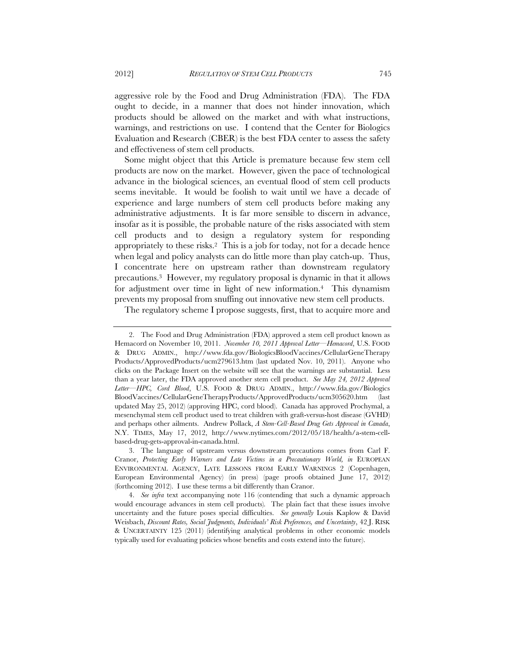aggressive role by the Food and Drug Administration (FDA). The FDA ought to decide, in a manner that does not hinder innovation, which products should be allowed on the market and with what instructions, warnings, and restrictions on use. I contend that the Center for Biologics Evaluation and Research (CBER) is the best FDA center to assess the safety and effectiveness of stem cell products.

Some might object that this Article is premature because few stem cell products are now on the market. However, given the pace of technological advance in the biological sciences, an eventual flood of stem cell products seems inevitable. It would be foolish to wait until we have a decade of experience and large numbers of stem cell products before making any administrative adjustments. It is far more sensible to discern in advance, insofar as it is possible, the probable nature of the risks associated with stem cell products and to design a regulatory system for responding appropriately to these risks.2 This is a job for today, not for a decade hence when legal and policy analysts can do little more than play catch-up. Thus, I concentrate here on upstream rather than downstream regulatory precautions.3 However, my regulatory proposal is dynamic in that it allows for adjustment over time in light of new information.4 This dynamism prevents my proposal from snuffing out innovative new stem cell products.

The regulatory scheme I propose suggests, first, that to acquire more and

 <sup>2.</sup> The Food and Drug Administration (FDA) approved a stem cell product known as Hemacord on November 10, 2011. *November 10, 2011 Approval Letter—Hemacord*, U.S. FOOD & DRUG ADMIN., http://www.fda.gov/BiologicsBloodVaccines/CellularGeneTherapy Products/ApprovedProducts/ucm279613.htm (last updated Nov. 10, 2011). Anyone who clicks on the Package Insert on the website will see that the warnings are substantial. Less than a year later, the FDA approved another stem cell product. *See May 24, 2012 Approval Letter—HPC, Cord Blood*, U.S. FOOD & DRUG ADMIN., http://www.fda.gov/Biologics BloodVaccines/CellularGeneTherapyProducts/ApprovedProducts/ucm305620.htm (last updated May 25, 2012) (approving HPC, cord blood). Canada has approved Prochymal, a mesenchymal stem cell product used to treat children with graft-versus-host disease (GVHD) and perhaps other ailments. Andrew Pollack, *A Stem-Cell-Based Drug Gets Approval in Canada*, N.Y. TIMES, May 17, 2012, http://www.nytimes.com/2012/05/18/health/a-stem-cellbased-drug-gets-approval-in-canada.html.

 <sup>3.</sup> The language of upstream versus downstream precautions comes from Carl F. Cranor, *Protecting Early Warners and Late Victims in a Precautionary World, in* EUROPEAN ENVIRONMENTAL AGENCY, LATE LESSONS FROM EARLY WARNINGS 2 (Copenhagen, European Environmental Agency) (in press) (page proofs obtained June 17, 2012) (forthcoming 2012). I use these terms a bit differently than Cranor.

 <sup>4.</sup> *See infra* text accompanying note 116 (contending that such a dynamic approach would encourage advances in stem cell products)*.* The plain fact that these issues involve uncertainty and the future poses special difficulties. *See generally* Louis Kaplow & David Weisbach, *Discount Rates, Social Judgments, Individuals' Risk Preferences, and Uncertainty*, 42 J. RISK & UNCERTAINTY 125 (2011) (identifying analytical problems in other economic models typically used for evaluating policies whose benefits and costs extend into the future).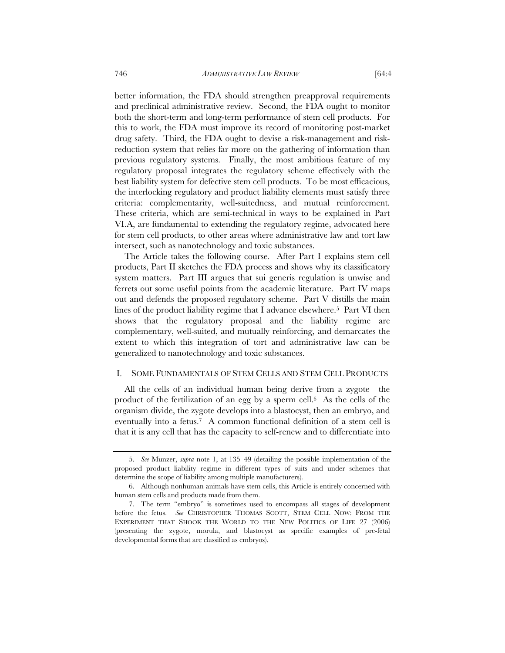better information, the FDA should strengthen preapproval requirements and preclinical administrative review. Second, the FDA ought to monitor both the short-term and long-term performance of stem cell products. For this to work, the FDA must improve its record of monitoring post-market drug safety. Third, the FDA ought to devise a risk-management and riskreduction system that relies far more on the gathering of information than previous regulatory systems. Finally, the most ambitious feature of my regulatory proposal integrates the regulatory scheme effectively with the best liability system for defective stem cell products. To be most efficacious, the interlocking regulatory and product liability elements must satisfy three criteria: complementarity, well-suitedness, and mutual reinforcement. These criteria, which are semi-technical in ways to be explained in Part VI.A, are fundamental to extending the regulatory regime, advocated here for stem cell products, to other areas where administrative law and tort law intersect, such as nanotechnology and toxic substances.

The Article takes the following course. After Part I explains stem cell products, Part II sketches the FDA process and shows why its classificatory system matters. Part III argues that sui generis regulation is unwise and ferrets out some useful points from the academic literature. Part IV maps out and defends the proposed regulatory scheme. Part V distills the main lines of the product liability regime that I advance elsewhere.<sup>5</sup> Part VI then shows that the regulatory proposal and the liability regime are complementary, well-suited, and mutually reinforcing, and demarcates the extent to which this integration of tort and administrative law can be generalized to nanotechnology and toxic substances.

# I. SOME FUNDAMENTALS OF STEM CELLS AND STEM CELL PRODUCTS

All the cells of an individual human being derive from a zygote—the product of the fertilization of an egg by a sperm cell.6 As the cells of the organism divide, the zygote develops into a blastocyst, then an embryo, and eventually into a fetus.7 A common functional definition of a stem cell is that it is any cell that has the capacity to self-renew and to differentiate into

 <sup>5.</sup> *See* Munzer, *supra* note 1, at 135–49 (detailing the possible implementation of the proposed product liability regime in different types of suits and under schemes that determine the scope of liability among multiple manufacturers).

 <sup>6.</sup> Although nonhuman animals have stem cells, this Article is entirely concerned with human stem cells and products made from them.

 <sup>7.</sup> The term "embryo" is sometimes used to encompass all stages of development before the fetus. *See* CHRISTOPHER THOMAS SCOTT, STEM CELL NOW: FROM THE EXPERIMENT THAT SHOOK THE WORLD TO THE NEW POLITICS OF LIFE 27 (2006) (presenting the zygote, morula, and blastocyst as specific examples of pre-fetal developmental forms that are classified as embryos).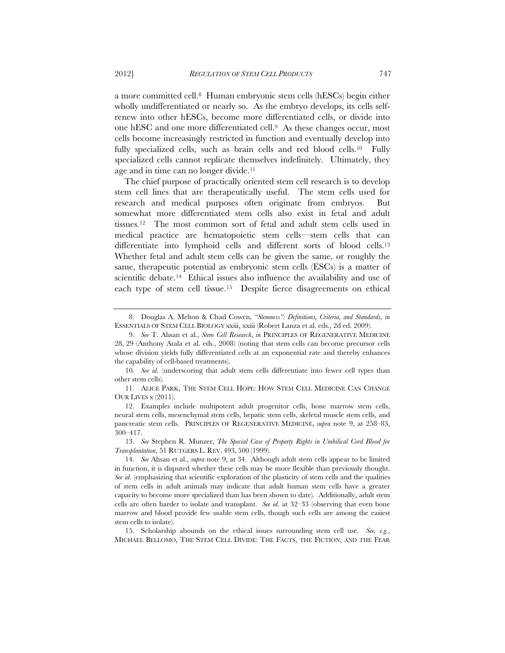a more committed cell.8 Human embryonic stem cells (hESCs) begin either wholly undifferentiated or nearly so. As the embryo develops, its cells selfrenew into other hESCs, become more differentiated cells, or divide into one hESC and one more differentiated cell.9 As these changes occur, most cells become increasingly restricted in function and eventually develop into fully specialized cells, such as brain cells and red blood cells.10 Fully specialized cells cannot replicate themselves indefinitely. Ultimately, they age and in time can no longer divide.11

The chief purpose of practically oriented stem cell research is to develop stem cell lines that are therapeutically useful. The stem cells used for research and medical purposes often originate from embryos. But somewhat more differentiated stem cells also exist in fetal and adult tissues.12 The most common sort of fetal and adult stem cells used in medical practice are hematopoietic stem cells—stem cells that can differentiate into lymphoid cells and different sorts of blood cells.13 Whether fetal and adult stem cells can be given the same, or roughly the same, therapeutic potential as embryonic stem cells (ESCs) is a matter of scientific debate.<sup>14</sup> Ethical issues also influence the availability and use of each type of stem cell tissue.15 Despite fierce disagreements on ethical

 <sup>8.</sup> Douglas A. Melton & Chad Cowen, *"Stemness": Definitions, Criteria, and Standards, in*  ESSENTIALS OF STEM CELL BIOLOGY xxiii, xxiii (Robert Lanza et al. eds., 2d ed. 2009).

 <sup>9.</sup> *See* T. Ahsan et al., *Stem Cell Research*, *in* PRINCIPLES OF REGENERATIVE MEDICINE 28, 29 (Anthony Atala et al. eds., 2008) (noting that stem cells can become precursor cells whose division yields fully differentiated cells at an exponential rate and thereby enhances the capability of cell-based treatments).

<sup>10.</sup> See id. (underscoring that adult stem cells differentiate into fewer cell types than other stem cells)*.* 

 <sup>11.</sup> ALICE PARK, THE STEM CELL HOPE: HOW STEM CELL MEDICINE CAN CHANGE OUR LIVES x (2011).

 <sup>12.</sup> Examples include multipotent adult progenitor cells, bone marrow stem cells, neural stem cells, mesenchymal stem cells, hepatic stem cells, skeletal muscle stem cells, and pancreatic stem cells. PRINCIPLES OF REGENERATIVE MEDICINE, *supra* note 9, at 258–83, 300–417.

 <sup>13.</sup> *See* Stephen R. Munzer, *The Special Case of Property Rights in Umbilical Cord Blood for Transplantation*, 51 RUTGERS L. REV. 493, 500 (1999).

 <sup>14.</sup> *See* Ahsan et al., *supra* note 9, at 34. Although adult stem cells appear to be limited in function, it is disputed whether these cells may be more flexible than previously thought. *See id.* (emphasizing that scientific exploration of the plasticity of stem cells and the qualities of stem cells in adult animals may indicate that adult human stem cells have a greater capacity to become more specialized than has been shown to date)*.* Additionally, adult stem cells are often harder to isolate and transplant. *See id.* at 32–33 (observing that even bone marrow and blood provide few usable stem cells, though such cells are among the easiest stem cells to isolate).

 <sup>15.</sup> Scholarship abounds on the ethical issues surrounding stem cell use. *See, e.g.*, MICHAEL BELLOMO, THE STEM CELL DIVIDE: THE FACTS, THE FICTION, AND THE FEAR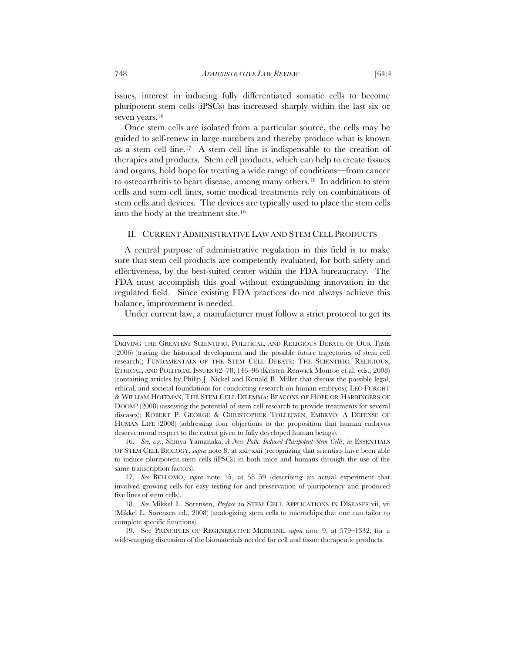issues, interest in inducing fully differentiated somatic cells to become pluripotent stem cells (iPSCs) has increased sharply within the last six or seven years.16

Once stem cells are isolated from a particular source, the cells may be guided to self-renew in large numbers and thereby produce what is known as a stem cell line.17 A stem cell line is indispensable to the creation of therapies and products. Stem cell products, which can help to create tissues and organs, hold hope for treating a wide range of conditions—from cancer to osteoarthritis to heart disease, among many others.18 In addition to stem cells and stem cell lines, some medical treatments rely on combinations of stem cells and devices. The devices are typically used to place the stem cells into the body at the treatment site.19

# II. CURRENT ADMINISTRATIVE LAW AND STEM CELL PRODUCTS

A central purpose of administrative regulation in this field is to make sure that stem cell products are competently evaluated, for both safety and effectiveness, by the best-suited center within the FDA bureaucracy. The FDA must accomplish this goal without extinguishing innovation in the regulated field. Since existing FDA practices do not always achieve this balance, improvement is needed.

Under current law, a manufacturer must follow a strict protocol to get its

DRIVING THE GREATEST SCIENTIFIC, POLITICAL, AND RELIGIOUS DEBATE OF OUR TIME (2006) (tracing the historical development and the possible future trajectories of stem cell research); FUNDAMENTALS OF THE STEM CELL DEBATE: THE SCIENTIFIC, RELIGIOUS, ETHICAL, AND POLITICAL ISSUES 62–78, 146–96 (Kristen Renwick Monroe et al. eds., 2008) (containing articles by Philip J. Nickel and Ronald B. Miller that discuss the possible legal, ethical, and societal foundations for conducting research on human embryos); LEO FURCHT & WILLIAM HOFFMAN, THE STEM CELL DILEMMA: BEACONS OF HOPE OR HARBINGERS OF DOOM? (2008) (assessing the potential of stem cell research to provide treatments for several diseases); ROBERT P. GEORGE & CHRISTOPHER TOLLEFSEN, EMBRYO: A DEFENSE OF HUMAN LIFE (2008) (addressing four objections to the proposition that human embryos deserve moral respect to the extent given to fully developed human beings).

 <sup>16.</sup> *See, e.g.*, Shinya Yamanaka, *A New Path: Induced Pluripotent Stem Cells*, *in* ESSENTIALS OF STEM CELL BIOLOGY, *supra* note 8, at xxi–xxii (recognizing that scientists have been able to induce pluripotent stem cells (iPSCs) in both mice and humans through the use of the same transcription factors).

 <sup>17.</sup> *See* BELLOMO, *supra* note 15, at 58–59 (describing an actual experiment that involved growing cells for easy testing for and preservation of pluripotency and produced five lines of stem cells).

 <sup>18.</sup> *See* Mikkel L. Sorensen, *Preface* to STEM CELL APPLICATIONS IN DISEASES vii, vii (Mikkel L. Sorensen ed., 2008) (analogizing stem cells to microchips that one can tailor to complete specific functions).

 <sup>19.</sup> See PRINCIPLES OF REGENERATIVE MEDICINE, *supra* note 9, at 579–1332, for a wide-ranging discussion of the biomaterials needed for cell and tissue therapeutic products.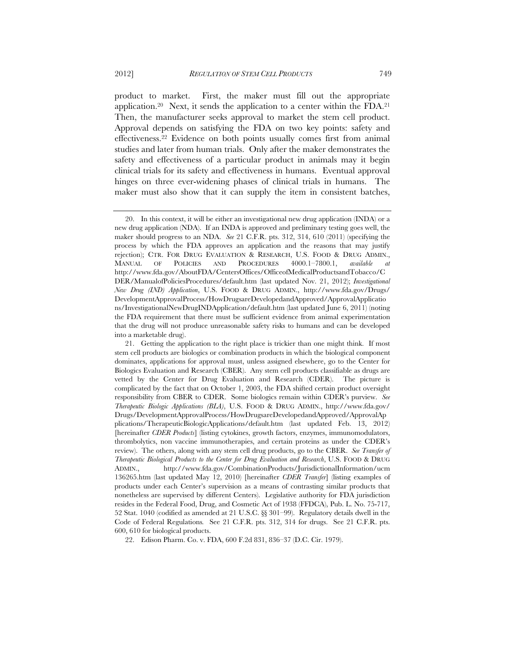product to market. First, the maker must fill out the appropriate application.<sup>20</sup> Next, it sends the application to a center within the FDA.<sup>21</sup> Then, the manufacturer seeks approval to market the stem cell product. Approval depends on satisfying the FDA on two key points: safety and effectiveness.22 Evidence on both points usually comes first from animal studies and later from human trials. Only after the maker demonstrates the safety and effectiveness of a particular product in animals may it begin clinical trials for its safety and effectiveness in humans. Eventual approval hinges on three ever-widening phases of clinical trials in humans. The maker must also show that it can supply the item in consistent batches,

22. Edison Pharm. Co. v. FDA, 600 F.2d 831, 836–37 (D.C. Cir. 1979).

 <sup>20.</sup> In this context, it will be either an investigational new drug application (INDA) or a new drug application (NDA). If an INDA is approved and preliminary testing goes well, the maker should progress to an NDA. *See* 21 C.F.R. pts. 312, 314, 610 (2011) (specifying the process by which the FDA approves an application and the reasons that may justify rejection); CTR. FOR DRUG EVALUATION & RESEARCH, U.S. FOOD & DRUG ADMIN., MANUAL OF POLICIES AND PROCEDURES 4000.1–7800.1, *available at* http://www.fda.gov/AboutFDA/CentersOffices/OfficeofMedicalProductsandTobacco/C DER/ManualofPoliciesProcedures/default.htm (last updated Nov. 21, 2012); *Investigational New Drug (IND) Application*, U.S. FOOD & DRUG ADMIN., http://www.fda.gov/Drugs/ DevelopmentApprovalProcess/HowDrugsareDevelopedandApproved/ApprovalApplicatio ns/InvestigationalNewDrugINDApplication/default.htm (last updated June 6, 2011) (noting the FDA requirement that there must be sufficient evidence from animal experimentation that the drug will not produce unreasonable safety risks to humans and can be developed into a marketable drug).

 <sup>21.</sup> Getting the application to the right place is trickier than one might think. If most stem cell products are biologics or combination products in which the biological component dominates, applications for approval must, unless assigned elsewhere, go to the Center for Biologics Evaluation and Research (CBER). Any stem cell products classifiable as drugs are vetted by the Center for Drug Evaluation and Research (CDER). The picture is complicated by the fact that on October 1, 2003, the FDA shifted certain product oversight responsibility from CBER to CDER. Some biologics remain within CDER's purview. *See Therapeutic Biologic Applications (BLA)*, U.S. FOOD & DRUG ADMIN., http://www.fda.gov/ Drugs/DevelopmentApprovalProcess/HowDrugsareDevelopedandApproved/ApprovalAp plications/TherapeuticBiologicApplications/default.htm (last updated Feb. 13, 2012) [hereinafter *CDER Products*] (listing cytokines, growth factors, enzymes, immunomodulators, thrombolytics, non vaccine immunotherapies, and certain proteins as under the CDER's review). The others, along with any stem cell drug products, go to the CBER. *See Transfer of Therapeutic Biological Products to the Center for Drug Evaluation and Research*, U.S. FOOD & DRUG ADMIN., http://www.fda.gov/CombinationProducts/JurisdictionalInformation/ucm 136265.htm (last updated May 12, 2010) [hereinafter *CDER Transfer*] (listing examples of products under each Center's supervision as a means of contrasting similar products that nonetheless are supervised by different Centers). Legislative authority for FDA jurisdiction resides in the Federal Food, Drug, and Cosmetic Act of 1938 (FFDCA), Pub. L. No. 75-717, 52 Stat. 1040 (codified as amended at 21 U.S.C. §§ 301–99). Regulatory details dwell in the Code of Federal Regulations*.* See 21 C.F.R. pts. 312, 314 for drugs. See 21 C.F.R. pts. 600, 610 for biological products.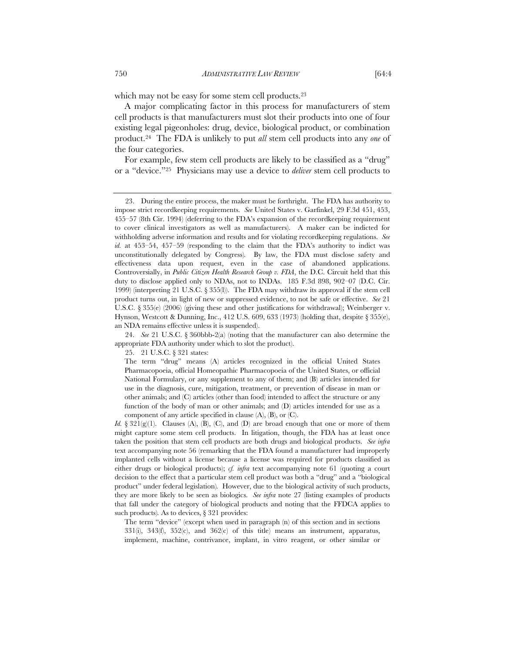which may not be easy for some stem cell products.<sup>23</sup>

A major complicating factor in this process for manufacturers of stem cell products is that manufacturers must slot their products into one of four existing legal pigeonholes: drug, device, biological product, or combination product.24 The FDA is unlikely to put *all* stem cell products into any *one* of the four categories.

For example, few stem cell products are likely to be classified as a "drug" or a "device."25 Physicians may use a device to *deliver* stem cell products to

The term "device" (except when used in paragraph (n) of this section and in sections 331(i), 343(f), 352(c), and 362(c) of this title) means an instrument, apparatus, implement, machine, contrivance, implant, in vitro reagent, or other similar or

 <sup>23.</sup> During the entire process, the maker must be forthright. The FDA has authority to impose strict recordkeeping requirements. *See* United States v. Garfinkel, 29 F.3d 451, 453, 455–57 (8th Cir. 1994) (deferring to the FDA's expansion of the recordkeeping requirement to cover clinical investigators as well as manufacturers). A maker can be indicted for withholding adverse information and results and for violating recordkeeping regulations. *See id.* at 453–54, 457–59 (responding to the claim that the FDA's authority to indict was unconstitutionally delegated by Congress)*.* By law, the FDA must disclose safety and effectiveness data upon request, even in the case of abandoned applications. Controversially, in *Public Citizen Health Research Group v. FDA*, the D.C. Circuit held that this duty to disclose applied only to NDAs, not to INDAs. 185 F.3d 898, 902–07 (D.C. Cir. 1999) (interpreting 21 U.S.C. § 355(l)). The FDA may withdraw its approval if the stem cell product turns out, in light of new or suppressed evidence, to not be safe or effective. *See* 21 U.S.C. § 355(e) (2006) (giving these and other justifications for withdrawal); Weinberger v. Hynson, Westcott & Dunning, Inc.,  $412$  U.S. 609, 633 (1973) (holding that, despite  $\S 355(e)$ , an NDA remains effective unless it is suspended).

 <sup>24.</sup> *See* 21 U.S.C. § 360bbb-2(a) (noting that the manufacturer can also determine the appropriate FDA authority under which to slot the product).

 <sup>25. 21</sup> U.S.C. § 321 states:

The term "drug" means (A) articles recognized in the official United States Pharmacopoeia, official Homeopathic Pharmacopoeia of the United States, or official National Formulary, or any supplement to any of them; and (B) articles intended for use in the diagnosis, cure, mitigation, treatment, or prevention of disease in man or other animals; and (C) articles (other than food) intended to affect the structure or any function of the body of man or other animals; and (D) articles intended for use as a component of any article specified in clause  $(A)$ ,  $(B)$ , or  $(C)$ .

*Id.*  $\S 321(g)(1)$ . Clauses (A), (B), (C), and (D) are broad enough that one or more of them might capture some stem cell products. In litigation, though, the FDA has at least once taken the position that stem cell products are both drugs and biological products. *See infra*  text accompanying note 56 (remarking that the FDA found a manufacturer had improperly implanted cells without a license because a license was required for products classified as either drugs or biological products); *cf. infra* text accompanying note 61 (quoting a court decision to the effect that a particular stem cell product was both a "drug" and a "biological product" under federal legislation)*.* However, due to the biological activity of such products, they are more likely to be seen as biologics. *See infra* note 27 (listing examples of products that fall under the category of biological products and noting that the FFDCA applies to such products)*.* As to devices, § 321 provides: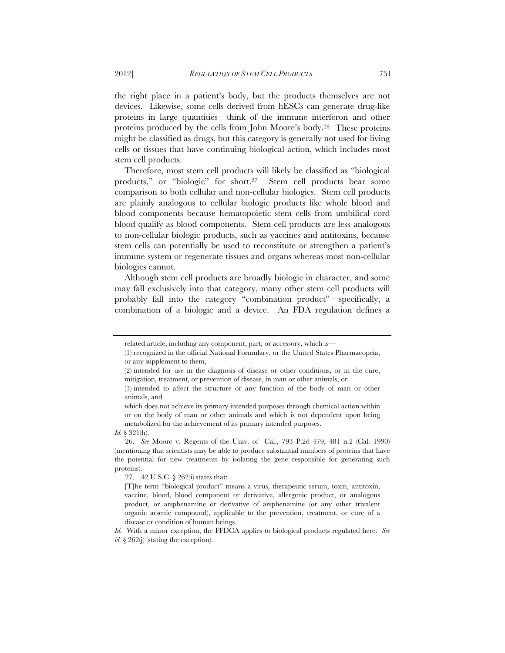the right place in a patient's body, but the products themselves are not devices. Likewise, some cells derived from hESCs can generate drug-like proteins in large quantities—think of the immune interferon and other proteins produced by the cells from John Moore's body.26 These proteins might be classified as drugs, but this category is generally not used for living cells or tissues that have continuing biological action, which includes most stem cell products.

Therefore, most stem cell products will likely be classified as "biological products," or "biologic" for short.<sup>27</sup> Stem cell products bear some comparison to both cellular and non-cellular biologics. Stem cell products are plainly analogous to cellular biologic products like whole blood and blood components because hematopoietic stem cells from umbilical cord blood qualify as blood components. Stem cell products are less analogous to non-cellular biologic products, such as vaccines and antitoxins, because stem cells can potentially be used to reconstitute or strengthen a patient's immune system or regenerate tissues and organs whereas most non-cellular biologics cannot.

Although stem cell products are broadly biologic in character, and some may fall exclusively into that category, many other stem cell products will probably fall into the category "combination product"—specifically, a combination of a biologic and a device. An FDA regulation defines a

related article, including any component, part, or accessory, which is—

<sup>(1)</sup> recognized in the official National Formulary, or the United States Pharmacopeia, or any supplement to them,

<sup>(2)</sup> intended for use in the diagnosis of disease or other conditions, or in the cure, mitigation, treatment, or prevention of disease, in man or other animals, or

<sup>(3)</sup> intended to affect the structure or any function of the body of man or other animals, and

which does not achieve its primary intended purposes through chemical action within or on the body of man or other animals and which is not dependent upon being metabolized for the achievement of its primary intended purposes.

*Id.* § 321(h).

 <sup>26.</sup> *See* Moore v. Regents of the Univ. of Cal., 793 P.2d 479, 481 n.2 (Cal. 1990) (mentioning that scientists may be able to produce substantial numbers of proteins that have the potential for new treatments by isolating the gene responsible for generating such proteins).

 <sup>27. 42</sup> U.S.C. § 262(i) states that:

<sup>[</sup>T]he term "biological product" means a virus, therapeutic serum, toxin, antitoxin, vaccine, blood, blood component or derivative, allergenic product, or analogous product, or arsphenamine or derivative of arsphenamine (or any other trivalent organic arsenic compound), applicable to the prevention, treatment, or cure of a disease or condition of human beings.

*Id.* With a minor exception, the FFDCA applies to biological products regulated here. *See* 

*id.* § 262(j) (stating the exception).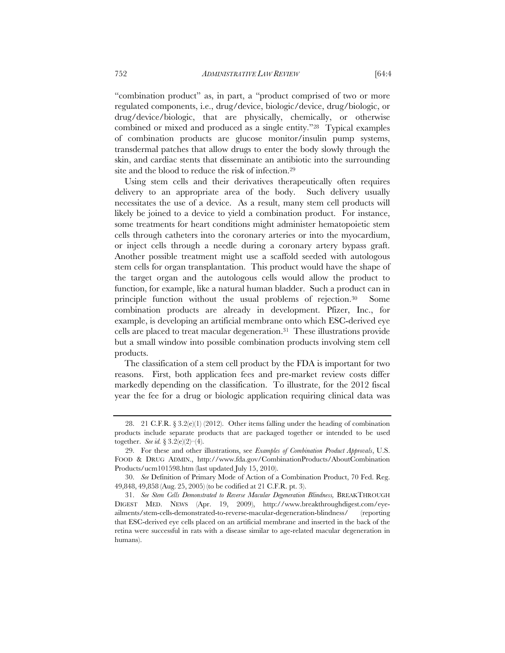"combination product" as, in part, a "product comprised of two or more regulated components, i.e., drug/device, biologic/device, drug/biologic, or drug/device/biologic, that are physically, chemically, or otherwise combined or mixed and produced as a single entity."28 Typical examples of combination products are glucose monitor/insulin pump systems, transdermal patches that allow drugs to enter the body slowly through the skin, and cardiac stents that disseminate an antibiotic into the surrounding site and the blood to reduce the risk of infection.29

Using stem cells and their derivatives therapeutically often requires delivery to an appropriate area of the body. Such delivery usually necessitates the use of a device. As a result, many stem cell products will likely be joined to a device to yield a combination product. For instance, some treatments for heart conditions might administer hematopoietic stem cells through catheters into the coronary arteries or into the myocardium, or inject cells through a needle during a coronary artery bypass graft. Another possible treatment might use a scaffold seeded with autologous stem cells for organ transplantation. This product would have the shape of the target organ and the autologous cells would allow the product to function, for example, like a natural human bladder. Such a product can in principle function without the usual problems of rejection.30 Some combination products are already in development. Pfizer, Inc., for example, is developing an artificial membrane onto which ESC-derived eye cells are placed to treat macular degeneration.31 These illustrations provide but a small window into possible combination products involving stem cell products.

The classification of a stem cell product by the FDA is important for two reasons. First, both application fees and pre-market review costs differ markedly depending on the classification. To illustrate, for the 2012 fiscal year the fee for a drug or biologic application requiring clinical data was

<sup>28. 21</sup> C.F.R.  $\S 3.2(e)(1)(2012)$ . Other items falling under the heading of combination products include separate products that are packaged together or intended to be used together. *See id.* § 3.2(e)(2)–(4).

 <sup>29.</sup> For these and other illustrations, see *Examples of Combination Product Approvals*, U.S. FOOD & DRUG ADMIN., http://www.fda.gov/CombinationProducts/AboutCombination Products/ucm101598.htm (last updated July 15, 2010).

 <sup>30.</sup> *See* Definition of Primary Mode of Action of a Combination Product, 70 Fed. Reg. 49,848, 49,858 (Aug. 25, 2005) (to be codified at 21 C.F.R. pt. 3).

 <sup>31.</sup> *See Stem Cells Demonstrated to Reverse Macular Degeneration Blindness,* BREAKTHROUGH DIGEST MED. NEWS (Apr. 19, 2009), http://www.breakthroughdigest.com/eyeailments/stem-cells-demonstrated-to-reverse-macular-degeneration-blindness/ (reporting that ESC-derived eye cells placed on an artificial membrane and inserted in the back of the retina were successful in rats with a disease similar to age-related macular degeneration in humans).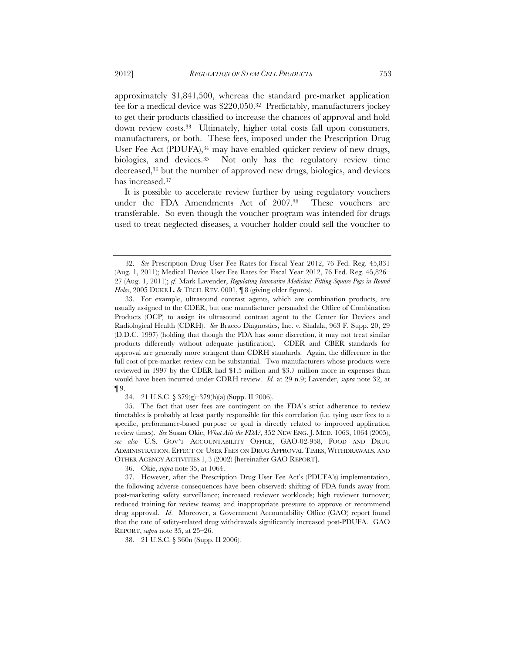approximately \$1,841,500, whereas the standard pre-market application fee for a medical device was \$220,050.32 Predictably, manufacturers jockey to get their products classified to increase the chances of approval and hold down review costs.33 Ultimately, higher total costs fall upon consumers, manufacturers, or both. These fees, imposed under the Prescription Drug User Fee Act (PDUFA),<sup>34</sup> may have enabled quicker review of new drugs, biologics, and devices.35 Not only has the regulatory review time decreased,36 but the number of approved new drugs, biologics, and devices has increased.37

It is possible to accelerate review further by using regulatory vouchers under the FDA Amendments Act of 2007.38 These vouchers are transferable. So even though the voucher program was intended for drugs used to treat neglected diseases, a voucher holder could sell the voucher to

36. Okie, *supra* note 35, at 1064.

38. 21 U.S.C. § 360n (Supp. II 2006).

 <sup>32.</sup> *See* Prescription Drug User Fee Rates for Fiscal Year 2012, 76 Fed. Reg. 45,831 (Aug. 1, 2011); Medical Device User Fee Rates for Fiscal Year 2012, 76 Fed. Reg. 45,826– 27 (Aug. 1, 2011); *cf*. Mark Lavender, *Regulating Innovative Medicine: Fitting Square Pegs in Round*  Holes, 2005 DUKE L. & TECH. REV. 0001,  $\P$  8 (giving older figures).

 <sup>33.</sup> For example, ultrasound contrast agents, which are combination products, are usually assigned to the CDER, but one manufacturer persuaded the Office of Combination Products (OCP) to assign its ultrasound contrast agent to the Center for Devices and Radiological Health (CDRH). *See* Bracco Diagnostics, Inc. v. Shalala, 963 F. Supp. 20, 29 (D.D.C. 1997) (holding that though the FDA has some discretion, it may not treat similar products differently without adequate justification). CDER and CBER standards for approval are generally more stringent than CDRH standards. Again, the difference in the full cost of pre-market review can be substantial. Two manufacturers whose products were reviewed in 1997 by the CDER had \$1.5 million and \$3.7 million more in expenses than would have been incurred under CDRH review. *Id.* at 29 n.9; Lavender, *supra* note 32, at ¶ 9.

 <sup>34. 21</sup> U.S.C. § 379(g)–379(h)(a) (Supp. II 2006).

 <sup>35.</sup> The fact that user fees are contingent on the FDA's strict adherence to review timetables is probably at least partly responsible for this correlation (i.e. tying user fees to a specific, performance-based purpose or goal is directly related to improved application review times). *See* Susan Okie, *What Ails the FDA?*, 352 NEW ENG. J. MED. 1063, 1064 (2005); *see also* U.S. GOV'T ACCOUNTABILITY OFFICE, GAO-02-958, FOOD AND DRUG ADMINISTRATION: EFFECT OF USER FEES ON DRUG APPROVAL TIMES, WITHDRAWALS, AND OTHER AGENCY ACTIVITIES 1, 3 (2002) [hereinafter GAO REPORT].

 <sup>37.</sup> However, after the Prescription Drug User Fee Act's (PDUFA's) implementation, the following adverse consequences have been observed: shifting of FDA funds away from post-marketing safety surveillance; increased reviewer workloads; high reviewer turnover; reduced training for review teams; and inappropriate pressure to approve or recommend drug approval. *Id*. Moreover, a Government Accountability Office (GAO) report found that the rate of safety-related drug withdrawals significantly increased post-PDUFA. GAO REPORT, *supra* note 35, at 25–26.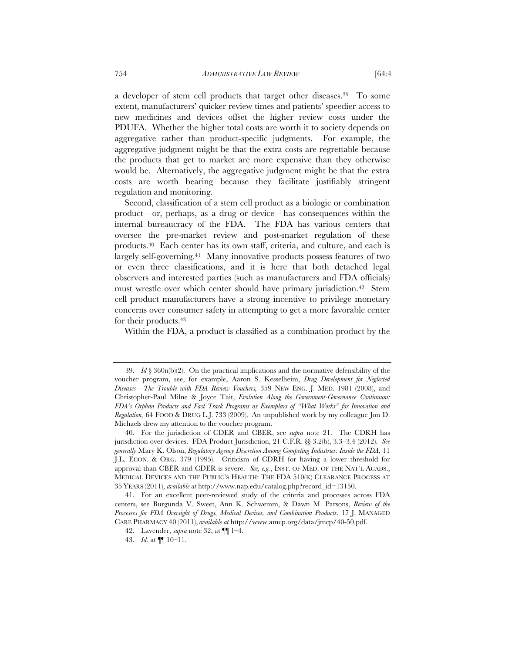a developer of stem cell products that target other diseases.39 To some extent, manufacturers' quicker review times and patients' speedier access to new medicines and devices offset the higher review costs under the PDUFA. Whether the higher total costs are worth it to society depends on aggregative rather than product-specific judgments. For example, the aggregative judgment might be that the extra costs are regrettable because the products that get to market are more expensive than they otherwise would be. Alternatively, the aggregative judgment might be that the extra costs are worth bearing because they facilitate justifiably stringent regulation and monitoring.

Second, classification of a stem cell product as a biologic or combination product—or, perhaps, as a drug or device—has consequences within the internal bureaucracy of the FDA. The FDA has various centers that oversee the pre-market review and post-market regulation of these products.40 Each center has its own staff, criteria, and culture, and each is largely self-governing.41 Many innovative products possess features of two or even three classifications, and it is here that both detached legal observers and interested parties (such as manufacturers and FDA officials) must wrestle over which center should have primary jurisdiction.42 Stem cell product manufacturers have a strong incentive to privilege monetary concerns over consumer safety in attempting to get a more favorable center for their products.43

Within the FDA, a product is classified as a combination product by the

 <sup>39.</sup> *Id* § 360n(b)(2). On the practical implications and the normative defensibility of the voucher program, see, for example, Aaron S. Kesselheim, *Drug Development for Neglected Diseases—The Trouble with FDA Review Vouchers,* 359 NEW ENG. J. MED. 1981 (2008), and Christopher-Paul Milne & Joyce Tait, *Evolution Along the Government-Governance Continuum: FDA's Orphan Products and Fast Track Programs as Exemplars of "What Works" for Innovation and Regulation,* 64 FOOD & DRUG L.J. 733 (2009). An unpublished work by my colleague Jon D. Michaels drew my attention to the voucher program.

 <sup>40.</sup> For the jurisdiction of CDER and CBER, see *supra* note 21. The CDRH has jurisdiction over devices. FDA Product Jurisdiction, 21 C.F.R. §§ 3.2(b), 3.3–3.4 (2012). *See generally* Mary K. Olson, *Regulatory Agency Discretion Among Competing Industries: Inside the FDA*, 11 J.L. ECON. & ORG. 379 (1995). Criticism of CDRH for having a lower threshold for approval than CBER and CDER is severe. *See, e.g.*, INST. OF MED. OF THE NAT'L ACADS., MEDICAL DEVICES AND THE PUBLIC'S HEALTH: THE FDA 510(K) CLEARANCE PROCESS AT 35 YEARS (2011), *available at* http://www.nap.edu/catalog.php?record\_id=13150.

 <sup>41.</sup> For an excellent peer-reviewed study of the criteria and processes across FDA centers, see Burgunda V. Sweet, Ann K. Schwemm, & Dawn M. Parsons, *Review of the Processes for FDA Oversight of Drugs, Medical Devices, and Combination Products*, 17 J. MANAGED CARE PHARMACY 40 (2011), *available at* http://www.amcp.org/data/jmcp/40-50.pdf.

 <sup>42.</sup> Lavender, *supra* note 32, at ¶¶ 1–4.

 <sup>43.</sup> *Id*. at ¶¶ 10–11.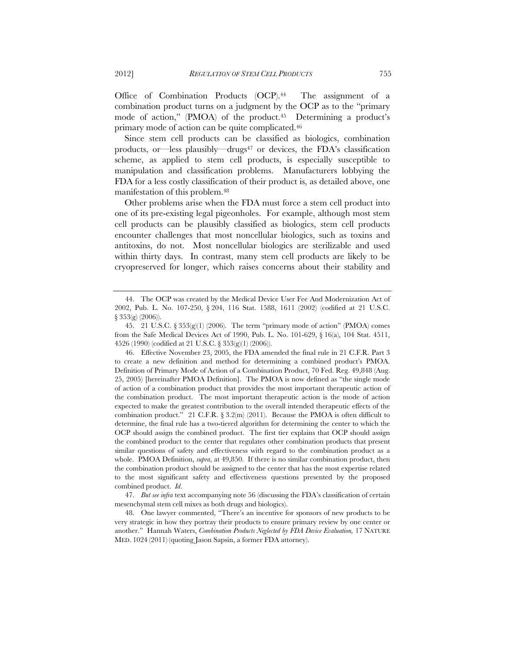Office of Combination Products (OCP).<sup>44</sup> The assignment of a combination product turns on a judgment by the OCP as to the "primary mode of action," (PMOA) of the product.45 Determining a product's primary mode of action can be quite complicated.46

Since stem cell products can be classified as biologics, combination products, or—less plausibly—drugs47 or devices, the FDA's classification scheme, as applied to stem cell products, is especially susceptible to manipulation and classification problems. Manufacturers lobbying the FDA for a less costly classification of their product is, as detailed above, one manifestation of this problem.48

Other problems arise when the FDA must force a stem cell product into one of its pre-existing legal pigeonholes. For example, although most stem cell products can be plausibly classified as biologics, stem cell products encounter challenges that most noncellular biologics, such as toxins and antitoxins, do not. Most noncellular biologics are sterilizable and used within thirty days. In contrast, many stem cell products are likely to be cryopreserved for longer, which raises concerns about their stability and

 47. *But see infra* text accompanying note 56 (discussing the FDA's classification of certain mesenchymal stem cell mixes as both drugs and biologics).

 <sup>44.</sup> The OCP was created by the Medical Device User Fee And Modernization Act of 2002, Pub. L. No. 107-250, § 204, 116 Stat. 1588, 1611 (2002) (codified at 21 U.S.C. § 353(g) (2006)).

 <sup>45. 21</sup> U.S.C. § 353(g)(1) (2006). The term "primary mode of action" (PMOA) comes from the Safe Medical Devices Act of 1990, Pub. L. No. 101-629, § 16(a), 104 Stat. 4511, 4526 (1990) (codified at 21 U.S.C. § 353(g)(1) (2006)).

 <sup>46.</sup> Effective November 23, 2005, the FDA amended the final rule in 21 C.F.R. Part 3 to create a new definition and method for determining a combined product's PMOA. Definition of Primary Mode of Action of a Combination Product, 70 Fed. Reg. 49,848 (Aug. 25, 2005) [hereinafter PMOA Definition]. The PMOA is now defined as "the single mode of action of a combination product that provides the most important therapeutic action of the combination product. The most important therapeutic action is the mode of action expected to make the greatest contribution to the overall intended therapeutic effects of the combination product." 21 C.F.R.  $\S 3.2(m)$  (2011). Because the PMOA is often difficult to determine, the final rule has a two-tiered algorithm for determining the center to which the OCP should assign the combined product. The first tier explains that OCP should assign the combined product to the center that regulates other combination products that present similar questions of safety and effectiveness with regard to the combination product as a whole. PMOA Definition, *supra*, at 49,850. If there is no similar combination product, then the combination product should be assigned to the center that has the most expertise related to the most significant safety and effectiveness questions presented by the proposed combined product. *Id*.

 <sup>48.</sup> One lawyer commented, "There's an incentive for sponsors of new products to be very strategic in how they portray their products to ensure primary review by one center or another." Hannah Waters, *Combination Products Neglected by FDA Device Evaluation,* 17 NATURE MED. 1024 (2011) (quoting Jason Sapsin, a former FDA attorney).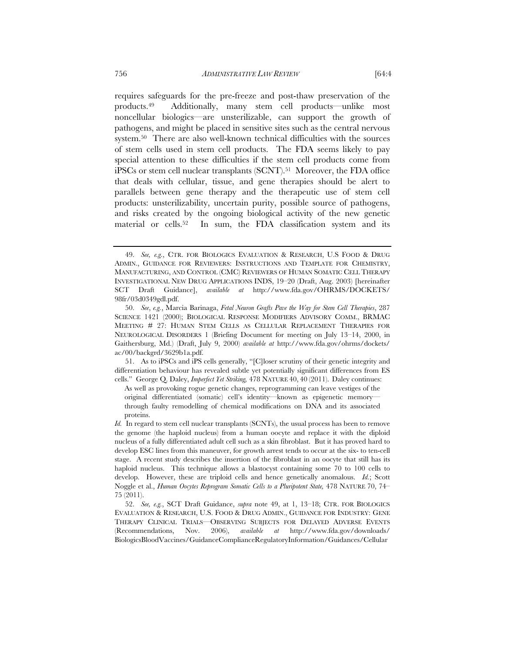requires safeguards for the pre-freeze and post-thaw preservation of the products.49 Additionally, many stem cell products—unlike most noncellular biologics—are unsterilizable, can support the growth of pathogens, and might be placed in sensitive sites such as the central nervous system.50 There are also well-known technical difficulties with the sources of stem cells used in stem cell products. The FDA seems likely to pay special attention to these difficulties if the stem cell products come from iPSCs or stem cell nuclear transplants (SCNT).51 Moreover, the FDA office that deals with cellular, tissue, and gene therapies should be alert to parallels between gene therapy and the therapeutic use of stem cell products: unsterilizability, uncertain purity, possible source of pathogens, and risks created by the ongoing biological activity of the new genetic material or cells.52 In sum, the FDA classification system and its

 51. As to iPSCs and iPS cells generally, "[C]loser scrutiny of their genetic integrity and differentiation behaviour has revealed subtle yet potentially significant differences from ES cells." George Q. Daley, *Imperfect Yet Striking,* 478 NATURE 40, 40 (2011). Daley continues:

As well as provoking rogue genetic changes, reprogramming can leave vestiges of the original differentiated (somatic) cell's identity—known as epigenetic memory through faulty remodelling of chemical modifications on DNA and its associated proteins.

 <sup>49.</sup> *See, e.g.*, CTR. FOR BIOLOGICS EVALUATION & RESEARCH, U.S FOOD & DRUG ADMIN., GUIDANCE FOR REVIEWERS: INSTRUCTIONS AND TEMPLATE FOR CHEMISTRY, MANUFACTURING, AND CONTROL (CMC) REVIEWERS OF HUMAN SOMATIC CELL THERAPY INVESTIGATIONAL NEW DRUG APPLICATIONS INDS, 19–20 (Draft, Aug. 2003) [hereinafter SCT Draft Guidance], *available at* http://www.fda.gov/OHRMS/DOCKETS/ 98fr/03d0349gdl.pdf.

 <sup>50.</sup> *See*, *e.g.*, Marcia Barinaga, *Fetal Neuron Grafts Pave the Way for Stem Cell Therapies*, 287 SCIENCE 1421 (2000); BIOLOGICAL RESPONSE MODIFIERS ADVISORY COMM., BRMAC MEETING # 27: HUMAN STEM CELLS AS CELLULAR REPLACEMENT THERAPIES FOR NEUROLOGICAL DISORDERS 1 (Briefing Document for meeting on July 13–14, 2000, in Gaithersburg, Md.) (Draft, July 9, 2000) *available at* http://www.fda.gov/ohrms/dockets/ ac/00/backgrd/3629b1a.pdf.

*Id.* In regard to stem cell nuclear transplants (SCNTs), the usual process has been to remove the genome (the haploid nucleus) from a human oocyte and replace it with the diploid nucleus of a fully differentiated adult cell such as a skin fibroblast. But it has proved hard to develop ESC lines from this maneuver, for growth arrest tends to occur at the six- to ten-cell stage. A recent study describes the insertion of the fibroblast in an oocyte that still has its haploid nucleus. This technique allows a blastocyst containing some 70 to 100 cells to develop. However, these are triploid cells and hence genetically anomalous. *Id.*; Scott Noggle et al., *Human Oocytes Reprogram Somatic Cells to a Pluripotent State,* 478 NATURE 70, 74– 75 (2011).

 <sup>52.</sup> *See, e.g.*, SCT Draft Guidance, *supra* note 49, at 1, 13–18; CTR. FOR BIOLOGICS EVALUATION & RESEARCH, U.S. FOOD & DRUG ADMIN., GUIDANCE FOR INDUSTRY: GENE THERAPY CLINICAL TRIALS*—*OBSERVING SUBJECTS FOR DELAYED ADVERSE EVENTS (Recommendations, Nov. 2006), *available at* http://www.fda.gov/downloads/ BiologicsBloodVaccines/GuidanceComplianceRegulatoryInformation/Guidances/Cellular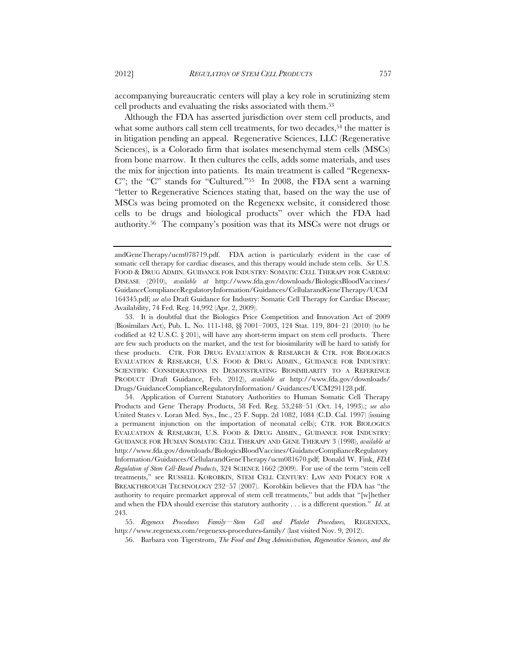accompanying bureaucratic centers will play a key role in scrutinizing stem cell products and evaluating the risks associated with them.53

Although the FDA has asserted jurisdiction over stem cell products, and what some authors call stem cell treatments, for two decades,<sup>54</sup> the matter is in litigation pending an appeal. Regenerative Sciences, LLC (Regenerative Sciences), is a Colorado firm that isolates mesenchymal stem cells (MSCs) from bone marrow. It then cultures the cells, adds some materials, and uses the mix for injection into patients. Its main treatment is called "Regenexx-C"; the "C" stands for "Cultured."55 In 2008, the FDA sent a warning "letter to Regenerative Sciences stating that, based on the way the use of MSCs was being promoted on the Regenexx website, it considered those cells to be drugs and biological products" over which the FDA had authority.56 The company's position was that its MSCs were not drugs or

 54. Application of Current Statutory Authorities to Human Somatic Cell Therapy Products and Gene Therapy Products, 58 Fed. Reg. 53,248–51 (Oct. 14, 1993).; *see also*  United States v. Loran Med. Sys., Inc., 25 F. Supp. 2d 1082, 1084 (C.D. Cal. 1997) (issuing a permanent injunction on the importation of neonatal cells); CTR. FOR BIOLOGICS EVALUATION & RESEARCH, U.S. FOOD & DRUG ADMIN., GUIDANCE FOR INDUSTRY: GUIDANCE FOR HUMAN SOMATIC CELL THERAPY AND GENE THERAPY 3 (1998), *available at* http://www.fda.gov/downloads/BiologicsBloodVaccines/GuidanceComplianceRegulatory Information/Guidances/CellularandGeneTherapy/ucm081670.pdf; Donald W. Fink, *FDA Regulation of Stem Cell-Based Products*, 324 SCIENCE 1662 (2009). For use of the term "stem cell treatments," see RUSSELL KOROBKIN, STEM CELL CENTURY: LAW AND POLICY FOR A BREAKTHROUGH TECHNOLOGY 232–57 (2007). Korobkin believes that the FDA has "the authority to require premarket approval of stem cell treatments," but adds that "[w]hether and when the FDA should exercise this statutory authority . . . is a different question." *Id.* at 243.

 55. *Regenexx Procedures Family—Stem Cell and Platelet Procedures,* REGENEXX, http://www.regenexx.com/regenexx-procedures-family/ (last visited Nov. 9, 2012).

56. Barbara von Tigerstrom, *The Food and Drug Administration, Regenerative Sciences, and the* 

andGeneTherapy/ucm078719.pdf. FDA action is particularly evident in the case of somatic cell therapy for cardiac diseases, and this therapy would include stem cells. *See* U.S. FOOD & DRUG ADMIN. GUIDANCE FOR INDUSTRY: SOMATIC CELL THERAPY FOR CARDIAC DISEASE (2010), *available at* http://www.fda.gov/downloads/BiologicsBloodVaccines/ GuidanceComplianceRegulatoryInformation/Guidances/CellularandGeneTherapy/UCM 164345.pdf; *see also* Draft Guidance for Industry: Somatic Cell Therapy for Cardiac Disease; Availability, 74 Fed. Reg. 14,992 (Apr. 2, 2009).

 <sup>53.</sup> It is doubtful that the Biologics Price Competition and Innovation Act of 2009 (Biosimilars Act), Pub. L. No. 111-148, §§ 7001–7003, 124 Stat. 119, 804–21 (2010) (to be codified at 42 U.S.C.  $\S$  201), will have any short-term impact on stem cell products. There are few such products on the market, and the test for biosimilarity will be hard to satisfy for these products. CTR. FOR DRUG EVALUATION & RESEARCH & CTR. FOR BIOLOGICS EVALUATION & RESEARCH, U.S. FOOD & DRUG ADMIN., GUIDANCE FOR INDUSTRY: SCIENTIFIC CONSIDERATIONS IN DEMONSTRATING BIOSIMILARITY TO A REFERENCE PRODUCT (Draft Guidance, Feb. 2012), *available at* http://www.fda.gov/downloads/ Drugs/GuidanceComplianceRegulatoryInformation/ Guidances/UCM291128.pdf.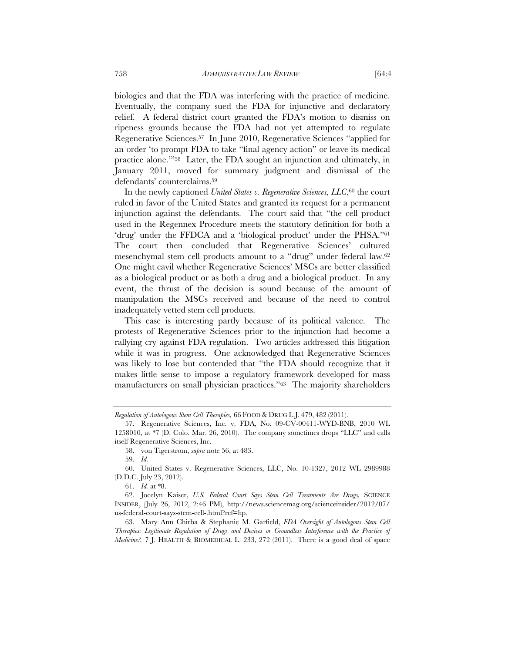biologics and that the FDA was interfering with the practice of medicine. Eventually, the company sued the FDA for injunctive and declaratory relief. A federal district court granted the FDA's motion to dismiss on ripeness grounds because the FDA had not yet attempted to regulate Regenerative Sciences.57 In June 2010, Regenerative Sciences "applied for an order 'to prompt FDA to take "final agency action" or leave its medical practice alone.'"58 Later, the FDA sought an injunction and ultimately, in January 2011, moved for summary judgment and dismissal of the defendants' counterclaims.59

In the newly captioned *United States v. Regenerative Sciences, LLC*,<sup>60</sup> the court ruled in favor of the United States and granted its request for a permanent injunction against the defendants. The court said that "the cell product used in the Regennex Procedure meets the statutory definition for both a 'drug' under the FFDCA and a 'biological product' under the PHSA."61 The court then concluded that Regenerative Sciences' cultured mesenchymal stem cell products amount to a "drug" under federal law.62 One might cavil whether Regenerative Sciences' MSCs are better classified as a biological product or as both a drug and a biological product. In any event, the thrust of the decision is sound because of the amount of manipulation the MSCs received and because of the need to control inadequately vetted stem cell products.

This case is interesting partly because of its political valence. The protests of Regenerative Sciences prior to the injunction had become a rallying cry against FDA regulation. Two articles addressed this litigation while it was in progress. One acknowledged that Regenerative Sciences was likely to lose but contended that "the FDA should recognize that it makes little sense to impose a regulatory framework developed for mass manufacturers on small physician practices."63 The majority shareholders

*Regulation of Autologous Stem Cell Therapies,* 66 FOOD & DRUG L.J. 479, 482 (2011).

 <sup>57.</sup> Regenerative Sciences, Inc. v. FDA, No. 09-CV-00411-WYD-BNB, 2010 WL 1258010, at \*7 (D. Colo. Mar. 26, 2010). The company sometimes drops "LLC" and calls itself Regenerative Sciences, Inc.

 <sup>58.</sup> von Tigerstrom, *supra* note 56, at 483.

 <sup>59.</sup> *Id.*

 <sup>60.</sup> United States v. Regenerative Sciences, LLC, No. 10-1327, 2012 WL 2989988 (D.D.C. July 23, 2012).

 <sup>61.</sup> *Id.* at \*8.

 <sup>62.</sup> Jocelyn Kaiser, *U.S. Federal Court Says Stem Cell Treatments Are Drugs,* SCIENCE INSIDER, (July 26, 2012, 2:46 PM), http://news.sciencemag.org/scienceinsider/2012/07/ us-federal-court-says-stem-cell-.html?ref=hp.

 <sup>63.</sup> Mary Ann Chirba & Stephanie M. Garfield, *FDA Oversight of Autologous Stem Cell Therapies: Legitimate Regulation of Drugs and Devices or Groundless Interference with the Practice of Medicine?,* 7 J. HEALTH & BIOMEDICAL L. 233, 272 (2011). There is a good deal of space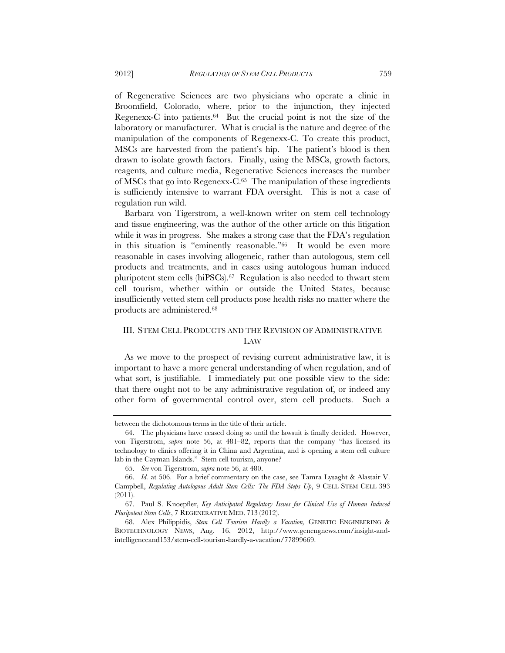of Regenerative Sciences are two physicians who operate a clinic in Broomfield, Colorado, where, prior to the injunction, they injected Regenexx-C into patients. $64$  But the crucial point is not the size of the laboratory or manufacturer. What is crucial is the nature and degree of the manipulation of the components of Regenexx-C. To create this product, MSCs are harvested from the patient's hip. The patient's blood is then drawn to isolate growth factors. Finally, using the MSCs, growth factors, reagents, and culture media, Regenerative Sciences increases the number of MSCs that go into Regenexx-C.65 The manipulation of these ingredients is sufficiently intensive to warrant FDA oversight. This is not a case of regulation run wild.

Barbara von Tigerstrom, a well-known writer on stem cell technology and tissue engineering, was the author of the other article on this litigation while it was in progress. She makes a strong case that the FDA's regulation in this situation is "eminently reasonable."66 It would be even more reasonable in cases involving allogeneic, rather than autologous, stem cell products and treatments, and in cases using autologous human induced pluripotent stem cells (hiPSCs).67 Regulation is also needed to thwart stem cell tourism, whether within or outside the United States, because insufficiently vetted stem cell products pose health risks no matter where the products are administered.68

# III. STEM CELL PRODUCTS AND THE REVISION OF ADMINISTRATIVE LAW

As we move to the prospect of revising current administrative law, it is important to have a more general understanding of when regulation, and of what sort, is justifiable. I immediately put one possible view to the side: that there ought not to be any administrative regulation of, or indeed any other form of governmental control over, stem cell products. Such a

between the dichotomous terms in the title of their article.

 <sup>64.</sup> The physicians have ceased doing so until the lawsuit is finally decided. However, von Tigerstrom, *supra* note 56, at 481–82, reports that the company "has licensed its technology to clinics offering it in China and Argentina, and is opening a stem cell culture lab in the Cayman Islands." Stem cell tourism, anyone?

 <sup>65.</sup> *See* von Tigerstrom, *supra* note 56, at 480.

 <sup>66.</sup> *Id.* at 506. For a brief commentary on the case, see Tamra Lysaght & Alastair V. Campbell, *Regulating Autologous Adult Stem Cells: The FDA Steps Up*, 9 CELL STEM CELL 393 (2011).

 <sup>67.</sup> Paul S. Knoepfler, *Key Anticipated Regulatory Issues for Clinical Use of Human Induced Pluripotent Stem Cells*, 7 REGENERATIVE MED. 713 (2012).

 <sup>68.</sup> Alex Philippidis, *Stem Cell Tourism Hardly a Vacation,* GENETIC ENGINEERING & BIOTECHNOLOGY NEWS, Aug. 16, 2012, http://www.genengnews.com/insight-andintelligenceand153/stem-cell-tourism-hardly-a-vacation/77899669.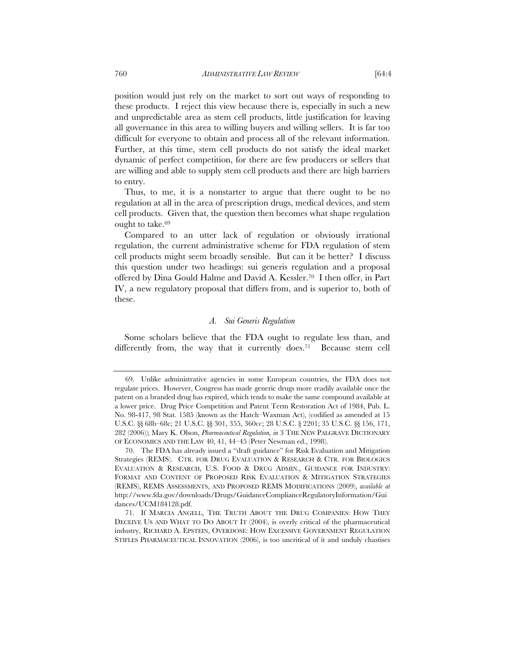position would just rely on the market to sort out ways of responding to these products. I reject this view because there is, especially in such a new and unpredictable area as stem cell products, little justification for leaving all governance in this area to willing buyers and willing sellers. It is far too difficult for everyone to obtain and process all of the relevant information. Further, at this time, stem cell products do not satisfy the ideal market dynamic of perfect competition, for there are few producers or sellers that are willing and able to supply stem cell products and there are high barriers to entry.

Thus, to me, it is a nonstarter to argue that there ought to be no regulation at all in the area of prescription drugs, medical devices, and stem cell products. Given that, the question then becomes what shape regulation ought to take.69

Compared to an utter lack of regulation or obviously irrational regulation, the current administrative scheme for FDA regulation of stem cell products might seem broadly sensible. But can it be better? I discuss this question under two headings: sui generis regulation and a proposal offered by Dina Gould Halme and David A. Kessler.70 I then offer, in Part IV, a new regulatory proposal that differs from, and is superior to, both of these.

# *A. Sui Generis Regulation*

Some scholars believe that the FDA ought to regulate less than, and differently from, the way that it currently does.<sup>71</sup> Because stem cell

 <sup>69.</sup> Unlike administrative agencies in some European countries, the FDA does not regulate prices. However, Congress has made generic drugs more readily available once the patent on a branded drug has expired, which tends to make the same compound available at a lower price. Drug Price Competition and Patent Term Restoration Act of 1984, Pub. L. No. 98-417, 98 Stat. 1585 (known as the Hatch–Waxman Act), (codified as amended at 15 U.S.C. §§ 68b–68c; 21 U.S.C. §§ 301, 355, 360cc; 28 U.S.C. § 2201; 35 U.S.C. §§ 156, 171, 282 (2006)); Mary K. Olson, *Pharmaceutical Regulation, in* 3 THE NEW PALGRAVE DICTIONARY OF ECONOMICS AND THE LAW 40, 41, 44–45 (Peter Newman ed., 1998).

 <sup>70.</sup> The FDA has already issued a "draft guidance" for Risk Evaluation and Mitigation Strategies (REMS). CTR. FOR DRUG EVALUATION & RESEARCH & CTR. FOR BIOLOGICS EVALUATION & RESEARCH, U.S. FOOD & DRUG ADMIN., GUIDANCE FOR INDUSTRY: FORMAT AND CONTENT OF PROPOSED RISK EVALUATION & MITIGATION STRATEGIES (REMS), REMS ASSESSMENTS, AND PROPOSED REMS MODIFICATIONS (2009), *available at* http://www.fda.gov/downloads/Drugs/GuidanceComplianceRegulatoryInformation/Gui dances/UCM184128.pdf.

 <sup>71.</sup> If MARCIA ANGELL, THE TRUTH ABOUT THE DRUG COMPANIES: HOW THEY DECEIVE US AND WHAT TO DO ABOUT IT (2004), is overly critical of the pharmaceutical industry, RICHARD A. EPSTEIN, OVERDOSE: HOW EXCESSIVE GOVERNMENT REGULATION STIFLES PHARMACEUTICAL INNOVATION (2006), is too uncritical of it and unduly chastises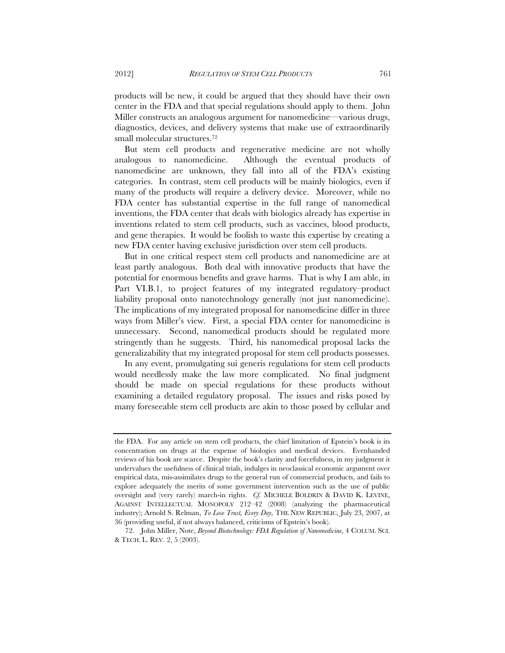products will be new, it could be argued that they should have their own center in the FDA and that special regulations should apply to them. John Miller constructs an analogous argument for nanomedicine—various drugs, diagnostics, devices, and delivery systems that make use of extraordinarily small molecular structures.72

But stem cell products and regenerative medicine are not wholly analogous to nanomedicine. Although the eventual products of nanomedicine are unknown, they fall into all of the FDA's existing categories. In contrast, stem cell products will be mainly biologics, even if many of the products will require a delivery device. Moreover, while no FDA center has substantial expertise in the full range of nanomedical inventions, the FDA center that deals with biologics already has expertise in inventions related to stem cell products, such as vaccines, blood products, and gene therapies. It would be foolish to waste this expertise by creating a new FDA center having exclusive jurisdiction over stem cell products.

But in one critical respect stem cell products and nanomedicine are at least partly analogous. Both deal with innovative products that have the potential for enormous benefits and grave harms. That is why I am able, in Part VI.B.1, to project features of my integrated regulatory–product liability proposal onto nanotechnology generally (not just nanomedicine). The implications of my integrated proposal for nanomedicine differ in three ways from Miller's view. First, a special FDA center for nanomedicine is unnecessary. Second, nanomedical products should be regulated more stringently than he suggests. Third, his nanomedical proposal lacks the generalizability that my integrated proposal for stem cell products possesses.

In any event, promulgating sui generis regulations for stem cell products would needlessly make the law more complicated. No final judgment should be made on special regulations for these products without examining a detailed regulatory proposal. The issues and risks posed by many foreseeable stem cell products are akin to those posed by cellular and

the FDA. For any article on stem cell products, the chief limitation of Epstein's book is its concentration on drugs at the expense of biologics and medical devices. Evenhanded reviews of his book are scarce. Despite the book's clarity and forcefulness, in my judgment it undervalues the usefulness of clinical trials, indulges in neoclassical economic argument over empirical data, mis-assimilates drugs to the general run of commercial products, and fails to explore adequately the merits of some government intervention such as the use of public oversight and (very rarely) march-in rights. *Cf.* MICHELE BOLDRIN & DAVID K. LEVINE, AGAINST INTELLECTUAL MONOPOLY 212–42 (2008) (analyzing the pharmaceutical industry); Arnold S. Relman, *To Lose Trust, Every Day,* THE NEW REPUBLIC, July 23, 2007, at 36 (providing useful, if not always balanced, criticisms of Epstein's book).

 <sup>72.</sup> John Miller, Note, *Beyond Biotechnology: FDA Regulation of Nanomedicine*, 4 COLUM. SCI. & TECH. L. REV. 2, 5 (2003).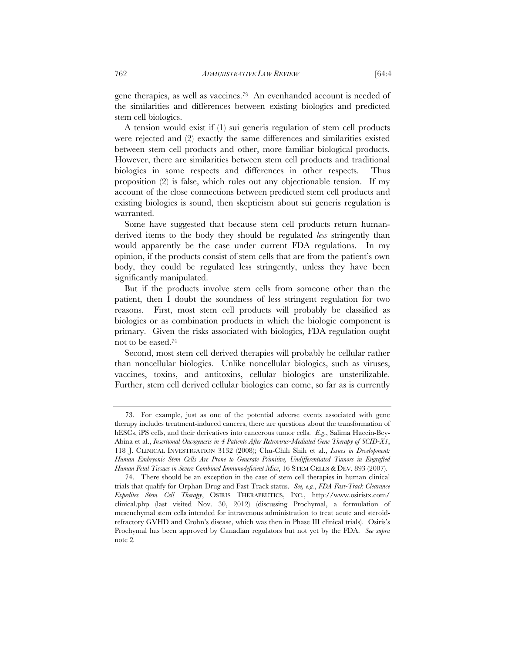gene therapies, as well as vaccines.73 An evenhanded account is needed of the similarities and differences between existing biologics and predicted stem cell biologics.

A tension would exist if (1) sui generis regulation of stem cell products were rejected and (2) exactly the same differences and similarities existed between stem cell products and other, more familiar biological products. However, there are similarities between stem cell products and traditional biologics in some respects and differences in other respects. Thus proposition (2) is false, which rules out any objectionable tension. If my account of the close connections between predicted stem cell products and existing biologics is sound, then skepticism about sui generis regulation is warranted.

Some have suggested that because stem cell products return humanderived items to the body they should be regulated *less* stringently than would apparently be the case under current FDA regulations. In my opinion, if the products consist of stem cells that are from the patient's own body, they could be regulated less stringently, unless they have been significantly manipulated.

But if the products involve stem cells from someone other than the patient, then I doubt the soundness of less stringent regulation for two reasons. First, most stem cell products will probably be classified as biologics or as combination products in which the biologic component is primary. Given the risks associated with biologics, FDA regulation ought not to be eased.74

Second, most stem cell derived therapies will probably be cellular rather than noncellular biologics. Unlike noncellular biologics, such as viruses, vaccines, toxins, and antitoxins, cellular biologics are unsterilizable. Further, stem cell derived cellular biologics can come, so far as is currently

 <sup>73.</sup> For example, just as one of the potential adverse events associated with gene therapy includes treatment-induced cancers, there are questions about the transformation of hESCs, iPS cells, and their derivatives into cancerous tumor cells. *E.g*., Salima Hacein-Bey-Abina et al., *Insertional Oncogenesis in 4 Patients After Retrovirus-Mediated Gene Therapy of SCID-X1*, 118 J. CLINICAL INVESTIGATION 3132 (2008); Chu-Chih Shih et al., *Issues in Development: Human Embryonic Stem Cells Are Prone to Generate Primitive, Undifferentiated Tumors in Engrafted Human Fetal Tissues in Severe Combined Immunodeficient Mice*, 16 STEM CELLS & DEV. 893 (2007).

 <sup>74.</sup> There should be an exception in the case of stem cell therapies in human clinical trials that qualify for Orphan Drug and Fast Track status. *See, e.g.*, *FDA Fast-Track Clearance Expedites Stem Cell Therapy*, OSIRIS THERAPEUTICS, INC., http://www.osiristx.com/ clinical.php (last visited Nov. 30, 2012) (discussing Prochymal, a formulation of mesenchymal stem cells intended for intravenous administration to treat acute and steroidrefractory GVHD and Crohn's disease, which was then in Phase III clinical trials). Osiris's Prochymal has been approved by Canadian regulators but not yet by the FDA. *See supra*  note 2*.*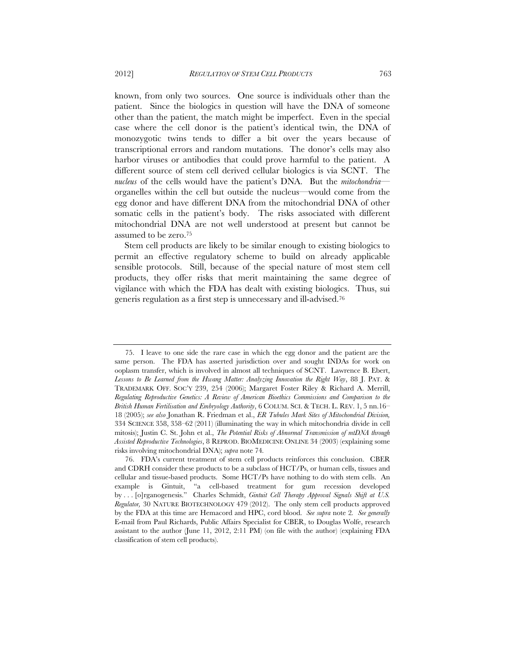known, from only two sources. One source is individuals other than the patient. Since the biologics in question will have the DNA of someone other than the patient, the match might be imperfect. Even in the special case where the cell donor is the patient's identical twin, the DNA of monozygotic twins tends to differ a bit over the years because of transcriptional errors and random mutations. The donor's cells may also harbor viruses or antibodies that could prove harmful to the patient. A different source of stem cell derived cellular biologics is via SCNT. The *nucleus* of the cells would have the patient's DNA. But the *mitochondria* organelles within the cell but outside the nucleus—would come from the egg donor and have different DNA from the mitochondrial DNA of other somatic cells in the patient's body. The risks associated with different mitochondrial DNA are not well understood at present but cannot be assumed to be zero.75

Stem cell products are likely to be similar enough to existing biologics to permit an effective regulatory scheme to build on already applicable sensible protocols. Still, because of the special nature of most stem cell products, they offer risks that merit maintaining the same degree of vigilance with which the FDA has dealt with existing biologics. Thus, sui generis regulation as a first step is unnecessary and ill-advised.76

 <sup>75.</sup> I leave to one side the rare case in which the egg donor and the patient are the same person. The FDA has asserted jurisdiction over and sought INDAs for work on ooplasm transfer, which is involved in almost all techniques of SCNT. Lawrence B. Ebert, *Lessons to Be Learned from the Hwang Matter: Analyzing Innovation the Right Way*, 88 J. PAT. & TRADEMARK OFF. SOC'Y 239, 254 (2006); Margaret Foster Riley & Richard A. Merrill, *Regulating Reproductive Genetics: A Review of American Bioethics Commissions and Comparison to the British Human Fertilisation and Embryology Authority*, 6 COLUM. SCI. & TECH. L. REV. 1, 5 nn.16– 18 (2005); *see also* Jonathan R. Friedman et al., *ER Tubules Mark Sites of Mitochondrial Division,* 334 SCIENCE 358, 358–62 (2011) (illuminating the way in which mitochondria divide in cell mitosis); Justin C. St. John et al., *The Potential Risks of Abnormal Transmission of mtDNA through Assisted Reproductive Technologies*, 8 REPROD. BIOMEDICINE ONLINE 34 (2003) (explaining some risks involving mitochondrial DNA); *supra* note 74*.* 

 <sup>76.</sup> FDA's current treatment of stem cell products reinforces this conclusion. CBER and CDRH consider these products to be a subclass of HCT/Ps, or human cells, tissues and cellular and tissue-based products. Some HCT/Ps have nothing to do with stem cells. An example is Gintuit, "a cell-based treatment for gum recession developed by . . . [o]rganogenesis." Charles Schmidt, *Gintuit Cell Therapy Approval Signals Shift at U.S. Regulator,* 30 NATURE BIOTECHNOLOGY 479 (2012). The only stem cell products approved by the FDA at this time are Hemacord and HPC, cord blood. *See supra* note 2*. See generally*  E-mail from Paul Richards, Public Affairs Specialist for CBER, to Douglas Wolfe, research assistant to the author (June 11, 2012, 2:11 PM) (on file with the author) (explaining FDA classification of stem cell products).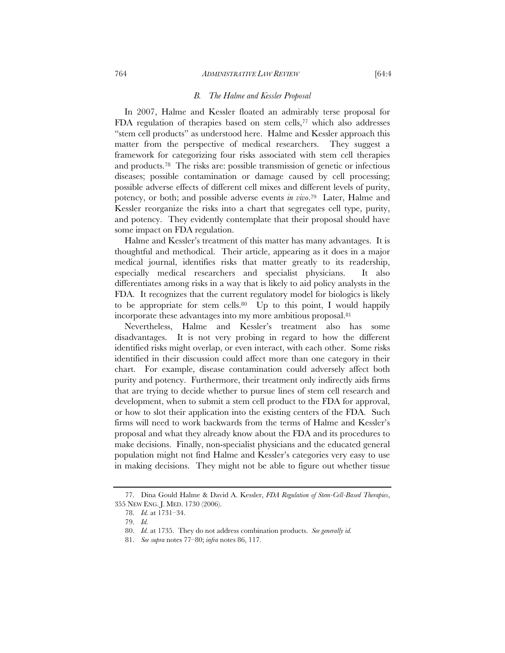# *B. The Halme and Kessler Proposal*

In 2007, Halme and Kessler floated an admirably terse proposal for FDA regulation of therapies based on stem cells,77 which also addresses "stem cell products" as understood here. Halme and Kessler approach this matter from the perspective of medical researchers. They suggest a framework for categorizing four risks associated with stem cell therapies and products.78 The risks are: possible transmission of genetic or infectious diseases; possible contamination or damage caused by cell processing; possible adverse effects of different cell mixes and different levels of purity, potency, or both; and possible adverse events *in vivo*.79 Later, Halme and Kessler reorganize the risks into a chart that segregates cell type, purity, and potency. They evidently contemplate that their proposal should have some impact on FDA regulation.

Halme and Kessler's treatment of this matter has many advantages. It is thoughtful and methodical. Their article, appearing as it does in a major medical journal, identifies risks that matter greatly to its readership, especially medical researchers and specialist physicians. It also differentiates among risks in a way that is likely to aid policy analysts in the FDA. It recognizes that the current regulatory model for biologics is likely to be appropriate for stem cells. $80$  Up to this point, I would happily incorporate these advantages into my more ambitious proposal.81

Nevertheless, Halme and Kessler's treatment also has some disadvantages. It is not very probing in regard to how the different identified risks might overlap, or even interact, with each other. Some risks identified in their discussion could affect more than one category in their chart. For example, disease contamination could adversely affect both purity and potency. Furthermore, their treatment only indirectly aids firms that are trying to decide whether to pursue lines of stem cell research and development, when to submit a stem cell product to the FDA for approval, or how to slot their application into the existing centers of the FDA. Such firms will need to work backwards from the terms of Halme and Kessler's proposal and what they already know about the FDA and its procedures to make decisions. Finally, non-specialist physicians and the educated general population might not find Halme and Kessler's categories very easy to use in making decisions. They might not be able to figure out whether tissue

 <sup>77.</sup> Dina Gould Halme & David A. Kessler, *FDA Regulation of Stem-Cell-Based Therapies*, 355 NEW ENG. J. MED. 1730 (2006).

 <sup>78.</sup> *Id.* at 1731–34.

 <sup>79.</sup> *Id.* 

 <sup>80.</sup> *Id.* at 1735. They do not address combination products. *See generally id.*

 <sup>81.</sup> *See supra* notes 77–80; *infra* notes 86, 117.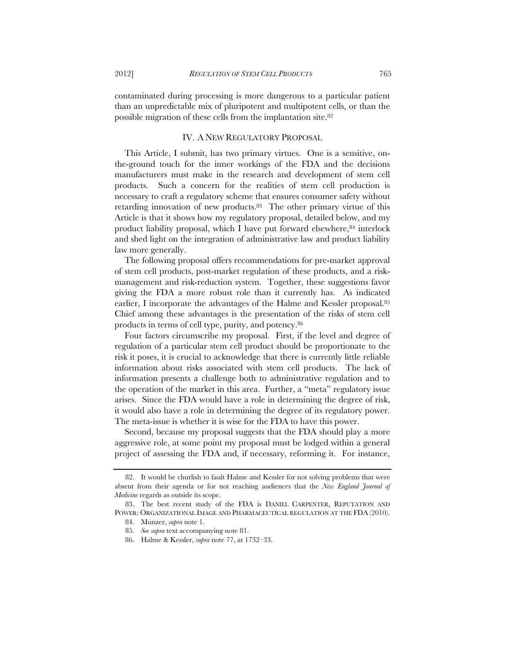contaminated during processing is more dangerous to a particular patient than an unpredictable mix of pluripotent and multipotent cells, or than the possible migration of these cells from the implantation site.82

# IV. A NEW REGULATORY PROPOSAL

This Article, I submit, has two primary virtues. One is a sensitive, onthe-ground touch for the inner workings of the FDA and the decisions manufacturers must make in the research and development of stem cell products. Such a concern for the realities of stem cell production is necessary to craft a regulatory scheme that ensures consumer safety without retarding innovation of new products.83 The other primary virtue of this Article is that it shows how my regulatory proposal, detailed below, and my product liability proposal, which I have put forward elsewhere, $84$  interlock and shed light on the integration of administrative law and product liability law more generally.

The following proposal offers recommendations for pre-market approval of stem cell products, post-market regulation of these products, and a riskmanagement and risk-reduction system. Together, these suggestions favor giving the FDA a more robust role than it currently has. As indicated earlier, I incorporate the advantages of the Halme and Kessler proposal.85 Chief among these advantages is the presentation of the risks of stem cell products in terms of cell type, purity, and potency.86

Four factors circumscribe my proposal. First, if the level and degree of regulation of a particular stem cell product should be proportionate to the risk it poses, it is crucial to acknowledge that there is currently little reliable information about risks associated with stem cell products. The lack of information presents a challenge both to administrative regulation and to the operation of the market in this area. Further, a "meta" regulatory issue arises. Since the FDA would have a role in determining the degree of risk, it would also have a role in determining the degree of its regulatory power. The meta-issue is whether it is wise for the FDA to have this power.

Second, because my proposal suggests that the FDA should play a more aggressive role, at some point my proposal must be lodged within a general project of assessing the FDA and, if necessary, reforming it. For instance,

 <sup>82.</sup> It would be churlish to fault Halme and Kessler for not solving problems that were absent from their agenda or for not reaching audiences that the *New England Journal of Medicine* regards as outside its scope.

 <sup>83.</sup> The best recent study of the FDA is DANIEL CARPENTER, REPUTATION AND POWER: ORGANIZATIONAL IMAGE AND PHARMACEUTICAL REGULATION AT THE FDA (2010).

 <sup>84.</sup> Munzer, *supra* note 1.

 <sup>85.</sup> *See supra* text accompanying note 81.

 <sup>86.</sup> Halme & Kessler, *supra* note 77, at 1732–33.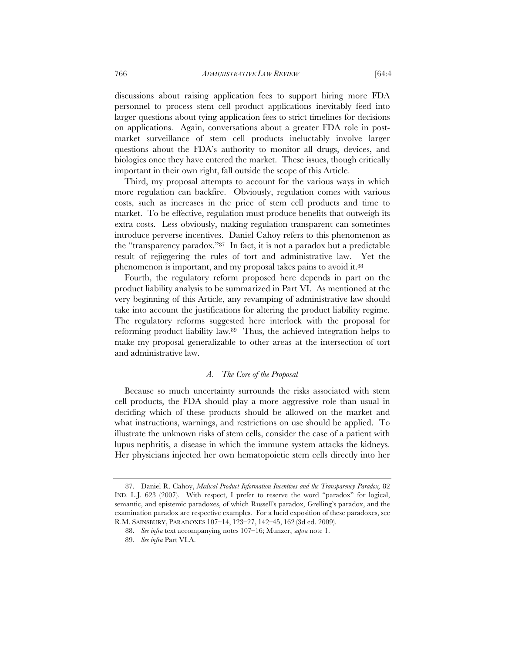discussions about raising application fees to support hiring more FDA personnel to process stem cell product applications inevitably feed into larger questions about tying application fees to strict timelines for decisions on applications. Again, conversations about a greater FDA role in postmarket surveillance of stem cell products ineluctably involve larger questions about the FDA's authority to monitor all drugs, devices, and biologics once they have entered the market. These issues, though critically important in their own right, fall outside the scope of this Article.

Third, my proposal attempts to account for the various ways in which more regulation can backfire. Obviously, regulation comes with various costs, such as increases in the price of stem cell products and time to market. To be effective, regulation must produce benefits that outweigh its extra costs. Less obviously, making regulation transparent can sometimes introduce perverse incentives. Daniel Cahoy refers to this phenomenon as the "transparency paradox."87 In fact, it is not a paradox but a predictable result of rejiggering the rules of tort and administrative law. Yet the phenomenon is important, and my proposal takes pains to avoid it.88

Fourth, the regulatory reform proposed here depends in part on the product liability analysis to be summarized in Part VI. As mentioned at the very beginning of this Article, any revamping of administrative law should take into account the justifications for altering the product liability regime. The regulatory reforms suggested here interlock with the proposal for reforming product liability law.89 Thus, the achieved integration helps to make my proposal generalizable to other areas at the intersection of tort and administrative law.

# *A. The Core of the Proposal*

Because so much uncertainty surrounds the risks associated with stem cell products, the FDA should play a more aggressive role than usual in deciding which of these products should be allowed on the market and what instructions, warnings, and restrictions on use should be applied. To illustrate the unknown risks of stem cells, consider the case of a patient with lupus nephritis, a disease in which the immune system attacks the kidneys. Her physicians injected her own hematopoietic stem cells directly into her

 <sup>87.</sup> Daniel R. Cahoy, *Medical Product Information Incentives and the Transparency Paradox,* 82 IND. L.J. 623 (2007). With respect, I prefer to reserve the word "paradox" for logical, semantic, and epistemic paradoxes, of which Russell's paradox, Grelling's paradox, and the examination paradox are respective examples. For a lucid exposition of these paradoxes, see R.M. SAINSBURY, PARADOXES 107–14, 123–27, 142–45, 162 (3d ed. 2009).

 <sup>88.</sup> *See infra* text accompanying notes 107–16; Munzer, *supra* note 1.

 <sup>89.</sup> *See infra* Part VI.A.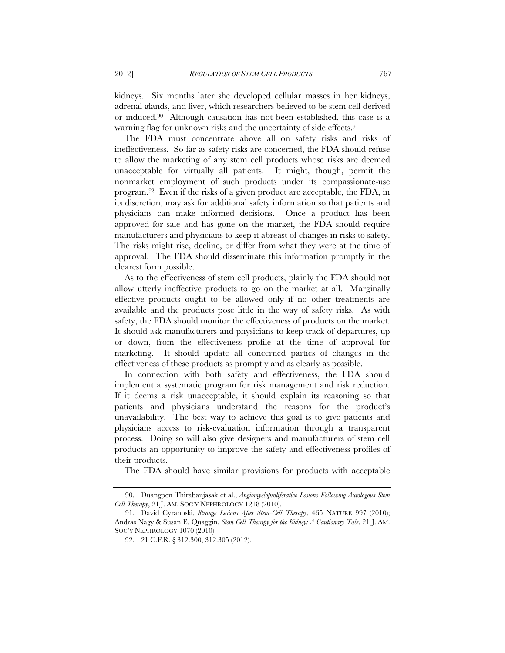kidneys. Six months later she developed cellular masses in her kidneys, adrenal glands, and liver, which researchers believed to be stem cell derived or induced.90 Although causation has not been established, this case is a warning flag for unknown risks and the uncertainty of side effects.<sup>91</sup>

The FDA must concentrate above all on safety risks and risks of ineffectiveness. So far as safety risks are concerned, the FDA should refuse to allow the marketing of any stem cell products whose risks are deemed unacceptable for virtually all patients. It might, though, permit the nonmarket employment of such products under its compassionate-use program.92 Even if the risks of a given product are acceptable, the FDA, in its discretion, may ask for additional safety information so that patients and physicians can make informed decisions. Once a product has been approved for sale and has gone on the market, the FDA should require manufacturers and physicians to keep it abreast of changes in risks to safety. The risks might rise, decline, or differ from what they were at the time of approval. The FDA should disseminate this information promptly in the clearest form possible.

As to the effectiveness of stem cell products, plainly the FDA should not allow utterly ineffective products to go on the market at all. Marginally effective products ought to be allowed only if no other treatments are available and the products pose little in the way of safety risks. As with safety, the FDA should monitor the effectiveness of products on the market. It should ask manufacturers and physicians to keep track of departures, up or down, from the effectiveness profile at the time of approval for marketing. It should update all concerned parties of changes in the effectiveness of these products as promptly and as clearly as possible.

In connection with both safety and effectiveness, the FDA should implement a systematic program for risk management and risk reduction. If it deems a risk unacceptable, it should explain its reasoning so that patients and physicians understand the reasons for the product's unavailability. The best way to achieve this goal is to give patients and physicians access to risk-evaluation information through a transparent process. Doing so will also give designers and manufacturers of stem cell products an opportunity to improve the safety and effectiveness profiles of their products.

The FDA should have similar provisions for products with acceptable

 <sup>90.</sup> Duangpen Thirabanjasak et al., *Angiomyeloproliferative Lesions Following Autologous Stem Cell Therapy*, 21 J. AM. SOC'Y NEPHROLOGY 1218 (2010).

 <sup>91.</sup> David Cyranoski, *Strange Lesions After Stem-Cell Therapy*, 465 NATURE 997 (2010); Andras Nagy & Susan E. Quaggin, *Stem Cell Therapy for the Kidney: A Cautionary Tale*, 21 J. AM. SOC'Y NEPHROLOGY 1070 (2010).

 <sup>92. 21</sup> C.F.R. § 312.300, 312.305 (2012).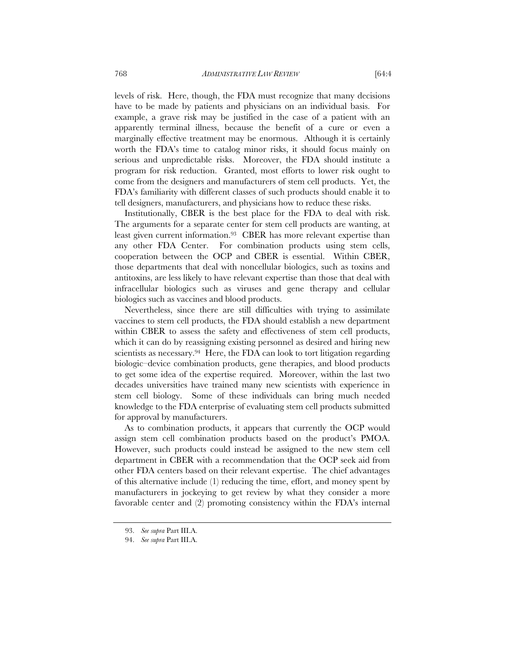levels of risk. Here, though, the FDA must recognize that many decisions have to be made by patients and physicians on an individual basis. For example, a grave risk may be justified in the case of a patient with an apparently terminal illness, because the benefit of a cure or even a marginally effective treatment may be enormous. Although it is certainly worth the FDA's time to catalog minor risks, it should focus mainly on serious and unpredictable risks. Moreover, the FDA should institute a program for risk reduction. Granted, most efforts to lower risk ought to come from the designers and manufacturers of stem cell products. Yet, the FDA's familiarity with different classes of such products should enable it to tell designers, manufacturers, and physicians how to reduce these risks.

Institutionally, CBER is the best place for the FDA to deal with risk. The arguments for a separate center for stem cell products are wanting, at least given current information.<sup>93</sup> CBER has more relevant expertise than any other FDA Center. For combination products using stem cells, cooperation between the OCP and CBER is essential. Within CBER, those departments that deal with noncellular biologics, such as toxins and antitoxins, are less likely to have relevant expertise than those that deal with infracellular biologics such as viruses and gene therapy and cellular biologics such as vaccines and blood products.

Nevertheless, since there are still difficulties with trying to assimilate vaccines to stem cell products, the FDA should establish a new department within CBER to assess the safety and effectiveness of stem cell products, which it can do by reassigning existing personnel as desired and hiring new scientists as necessary.<sup>94</sup> Here, the FDA can look to tort litigation regarding biologic–device combination products, gene therapies, and blood products to get some idea of the expertise required. Moreover, within the last two decades universities have trained many new scientists with experience in stem cell biology. Some of these individuals can bring much needed knowledge to the FDA enterprise of evaluating stem cell products submitted for approval by manufacturers.

As to combination products, it appears that currently the OCP would assign stem cell combination products based on the product's PMOA. However, such products could instead be assigned to the new stem cell department in CBER with a recommendation that the OCP seek aid from other FDA centers based on their relevant expertise. The chief advantages of this alternative include (1) reducing the time, effort, and money spent by manufacturers in jockeying to get review by what they consider a more favorable center and (2) promoting consistency within the FDA's internal

 <sup>93.</sup> *See supra* Part III.A.

 <sup>94.</sup> *See supra* Part III.A.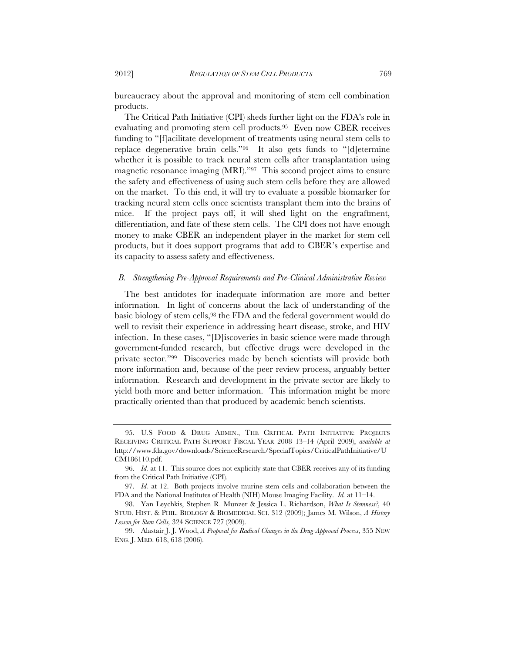bureaucracy about the approval and monitoring of stem cell combination products.

The Critical Path Initiative (CPI) sheds further light on the FDA's role in evaluating and promoting stem cell products.95 Even now CBER receives funding to "[f]acilitate development of treatments using neural stem cells to replace degenerative brain cells."96 It also gets funds to "[d]etermine whether it is possible to track neural stem cells after transplantation using magnetic resonance imaging (MRI)."97 This second project aims to ensure the safety and effectiveness of using such stem cells before they are allowed on the market. To this end, it will try to evaluate a possible biomarker for tracking neural stem cells once scientists transplant them into the brains of mice. If the project pays off, it will shed light on the engraftment, differentiation, and fate of these stem cells. The CPI does not have enough money to make CBER an independent player in the market for stem cell products, but it does support programs that add to CBER's expertise and its capacity to assess safety and effectiveness.

#### *B. Strengthening Pre-Approval Requirements and Pre-Clinical Administrative Review*

The best antidotes for inadequate information are more and better information. In light of concerns about the lack of understanding of the basic biology of stem cells,98 the FDA and the federal government would do well to revisit their experience in addressing heart disease, stroke, and HIV infection. In these cases, "[D]iscoveries in basic science were made through government-funded research, but effective drugs were developed in the private sector."99 Discoveries made by bench scientists will provide both more information and, because of the peer review process, arguably better information. Research and development in the private sector are likely to yield both more and better information. This information might be more practically oriented than that produced by academic bench scientists.

 <sup>95.</sup> U.S FOOD & DRUG ADMIN., THE CRITICAL PATH INITIATIVE: PROJECTS RECEIVING CRITICAL PATH SUPPORT FISCAL YEAR 2008 13–14 (April 2009), *available at* http://www.fda.gov/downloads/ScienceResearch/SpecialTopics/CriticalPathInitiative/U CM186110.pdf.

 <sup>96.</sup> *Id.* at 11. This source does not explicitly state that CBER receives any of its funding from the Critical Path Initiative (CPI).

 <sup>97.</sup> *Id.* at 12. Both projects involve murine stem cells and collaboration between the FDA and the National Institutes of Health (NIH) Mouse Imaging Facility. *Id.* at 11–14.

 <sup>98.</sup> Yan Leychkis, Stephen R. Munzer & Jessica L. Richardson, *What Is Stemness?,* 40 STUD. HIST. & PHIL. BIOLOGY & BIOMEDICAL SCI. 312 (2009); James M. Wilson, *A History Lesson for Stem Cells,* 324 SCIENCE 727 (2009).

 <sup>99.</sup> Alastair J. J. Wood, *A Proposal for Radical Changes in the Drug-Approval Process*, 355 NEW ENG. J. MED. 618, 618 (2006).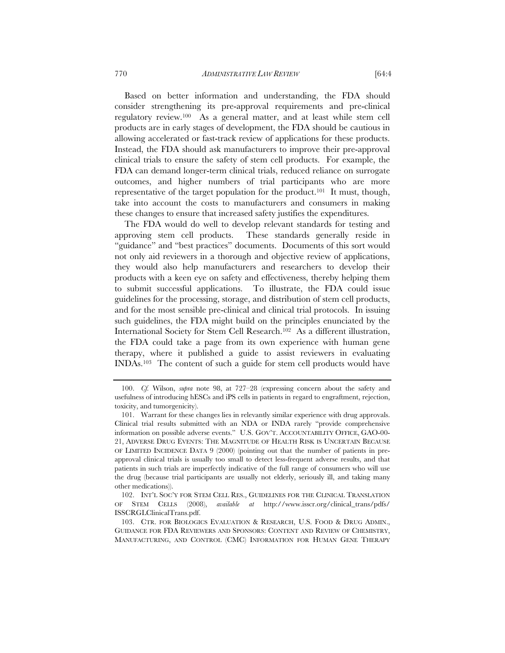Based on better information and understanding, the FDA should consider strengthening its pre-approval requirements and pre-clinical regulatory review.100 As a general matter, and at least while stem cell products are in early stages of development, the FDA should be cautious in allowing accelerated or fast-track review of applications for these products. Instead, the FDA should ask manufacturers to improve their pre-approval clinical trials to ensure the safety of stem cell products. For example, the FDA can demand longer-term clinical trials, reduced reliance on surrogate outcomes, and higher numbers of trial participants who are more representative of the target population for the product.101 It must, though, take into account the costs to manufacturers and consumers in making these changes to ensure that increased safety justifies the expenditures.

The FDA would do well to develop relevant standards for testing and approving stem cell products. These standards generally reside in "guidance" and "best practices" documents. Documents of this sort would not only aid reviewers in a thorough and objective review of applications, they would also help manufacturers and researchers to develop their products with a keen eye on safety and effectiveness, thereby helping them to submit successful applications. To illustrate, the FDA could issue guidelines for the processing, storage, and distribution of stem cell products, and for the most sensible pre-clinical and clinical trial protocols. In issuing such guidelines, the FDA might build on the principles enunciated by the International Society for Stem Cell Research.102 As a different illustration, the FDA could take a page from its own experience with human gene therapy, where it published a guide to assist reviewers in evaluating INDAs.103 The content of such a guide for stem cell products would have

 <sup>100.</sup> *Cf.* Wilson, *supra* note 98, at 727–28 (expressing concern about the safety and usefulness of introducing hESCs and iPS cells in patients in regard to engraftment, rejection, toxicity, and tumorgenicity).

 <sup>101.</sup> Warrant for these changes lies in relevantly similar experience with drug approvals. Clinical trial results submitted with an NDA or INDA rarely "provide comprehensive information on possible adverse events." U.S. GOV'T. ACCOUNTABILITY OFFICE, GAO-00- 21, ADVERSE DRUG EVENTS: THE MAGNITUDE OF HEALTH RISK IS UNCERTAIN BECAUSE OF LIMITED INCIDENCE DATA 9 (2000) (pointing out that the number of patients in preapproval clinical trials is usually too small to detect less-frequent adverse results, and that patients in such trials are imperfectly indicative of the full range of consumers who will use the drug (because trial participants are usually not elderly, seriously ill, and taking many other medications)).

 <sup>102.</sup> INT'L SOC'Y FOR STEM CELL RES., GUIDELINES FOR THE CLINICAL TRANSLATION OF STEM CELLS (2008), *available at* http://www.isscr.org/clinical\_trans/pdfs/ ISSCRGLClinicalTrans.pdf.

 <sup>103.</sup> CTR. FOR BIOLOGICS EVALUATION & RESEARCH, U.S. FOOD & DRUG ADMIN., GUIDANCE FOR FDA REVIEWERS AND SPONSORS: CONTENT AND REVIEW OF CHEMISTRY, MANUFACTURING, AND CONTROL (CMC) INFORMATION FOR HUMAN GENE THERAPY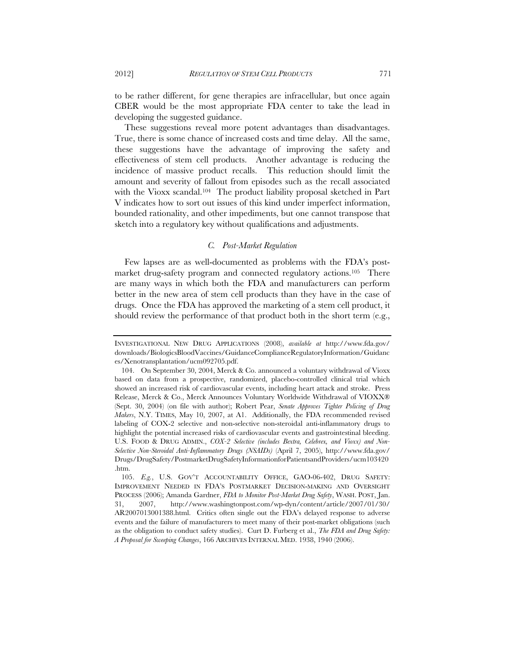to be rather different, for gene therapies are infracellular, but once again CBER would be the most appropriate FDA center to take the lead in developing the suggested guidance.

These suggestions reveal more potent advantages than disadvantages. True, there is some chance of increased costs and time delay. All the same, these suggestions have the advantage of improving the safety and effectiveness of stem cell products. Another advantage is reducing the incidence of massive product recalls. This reduction should limit the amount and severity of fallout from episodes such as the recall associated with the Vioxx scandal.<sup>104</sup> The product liability proposal sketched in Part V indicates how to sort out issues of this kind under imperfect information, bounded rationality, and other impediments, but one cannot transpose that sketch into a regulatory key without qualifications and adjustments.

# *C. Post-Market Regulation*

Few lapses are as well-documented as problems with the FDA's postmarket drug-safety program and connected regulatory actions.<sup>105</sup> There are many ways in which both the FDA and manufacturers can perform better in the new area of stem cell products than they have in the case of drugs. Once the FDA has approved the marketing of a stem cell product, it should review the performance of that product both in the short term (e.g.,

INVESTIGATIONAL NEW DRUG APPLICATIONS (2008), *available at* http://www.fda.gov/ downloads/BiologicsBloodVaccines/GuidanceComplianceRegulatoryInformation/Guidanc es/Xenotransplantation/ucm092705.pdf.

 <sup>104.</sup> On September 30, 2004, Merck & Co. announced a voluntary withdrawal of Vioxx based on data from a prospective, randomized, placebo-controlled clinical trial which showed an increased risk of cardiovascular events, including heart attack and stroke. Press Release, Merck & Co., Merck Announces Voluntary Worldwide Withdrawal of VIOXX® (Sept. 30, 2004) (on file with author); Robert Pear, *Senate Approves Tighter Policing of Drug Makers*, N.Y. TIMES, May 10, 2007, at A1. Additionally, the FDA recommended revised labeling of COX-2 selective and non-selective non-steroidal anti-inflammatory drugs to highlight the potential increased risks of cardiovascular events and gastrointestinal bleeding. U.S. FOOD & DRUG ADMIN., *COX-2 Selective (includes Bextra, Celebrex, and Vioxx) and Non-Selective Non-Steroidal Anti-Inflammatory Drugs (NSAIDs)* (April 7, 2005), http://www.fda.gov/ Drugs/DrugSafety/PostmarketDrugSafetyInformationforPatientsandProviders/ucm103420 .htm.

 <sup>105.</sup> *E.g.*, U.S. GOV'T ACCOUNTABILITY OFFICE, GAO-06-402, DRUG SAFETY: IMPROVEMENT NEEDED IN FDA'S POSTMARKET DECISION-MAKING AND OVERSIGHT PROCESS (2006); Amanda Gardner, *FDA to Monitor Post-Market Drug Safety*, WASH. POST, Jan. 31, 2007, http://www.washingtonpost.com/wp-dyn/content/article/2007/01/30/ AR2007013001388.html. Critics often single out the FDA's delayed response to adverse events and the failure of manufacturers to meet many of their post-market obligations (such as the obligation to conduct safety studies). Curt D. Furberg et al., *The FDA and Drug Safety: A Proposal for Sweeping Changes*, 166 ARCHIVES INTERNAL MED. 1938, 1940 (2006).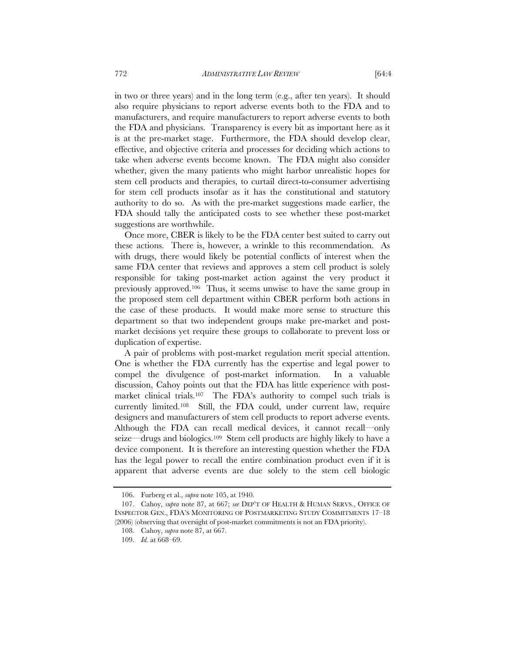in two or three years) and in the long term (e.g., after ten years). It should also require physicians to report adverse events both to the FDA and to manufacturers, and require manufacturers to report adverse events to both the FDA and physicians. Transparency is every bit as important here as it is at the pre-market stage. Furthermore, the FDA should develop clear, effective, and objective criteria and processes for deciding which actions to take when adverse events become known. The FDA might also consider whether, given the many patients who might harbor unrealistic hopes for stem cell products and therapies, to curtail direct-to-consumer advertising for stem cell products insofar as it has the constitutional and statutory authority to do so. As with the pre-market suggestions made earlier, the FDA should tally the anticipated costs to see whether these post-market suggestions are worthwhile.

Once more, CBER is likely to be the FDA center best suited to carry out these actions. There is, however, a wrinkle to this recommendation. As with drugs, there would likely be potential conflicts of interest when the same FDA center that reviews and approves a stem cell product is solely responsible for taking post-market action against the very product it previously approved.106 Thus, it seems unwise to have the same group in the proposed stem cell department within CBER perform both actions in the case of these products. It would make more sense to structure this department so that two independent groups make pre-market and postmarket decisions yet require these groups to collaborate to prevent loss or duplication of expertise.

A pair of problems with post-market regulation merit special attention. One is whether the FDA currently has the expertise and legal power to compel the divulgence of post-market information. In a valuable discussion, Cahoy points out that the FDA has little experience with postmarket clinical trials.107 The FDA's authority to compel such trials is currently limited.108 Still, the FDA could, under current law, require designers and manufacturers of stem cell products to report adverse events. Although the FDA can recall medical devices, it cannot recall—only seize—drugs and biologics.109 Stem cell products are highly likely to have a device component. It is therefore an interesting question whether the FDA has the legal power to recall the entire combination product even if it is apparent that adverse events are due solely to the stem cell biologic

 <sup>106.</sup> Furberg et al., *supra* note 105, at 1940.

 <sup>107.</sup> Cahoy, *supra* note 87, at 667; *see* DEP'T OF HEALTH & HUMAN SERVS., OFFICE OF INSPECTOR GEN., FDA'S MONITORING OF POSTMARKETING STUDY COMMITMENTS 17–18 (2006) (observing that oversight of post-market commitments is not an FDA priority).

 <sup>108.</sup> Cahoy, *supra* note 87, at 667.

 <sup>109.</sup> *Id.* at 668–69.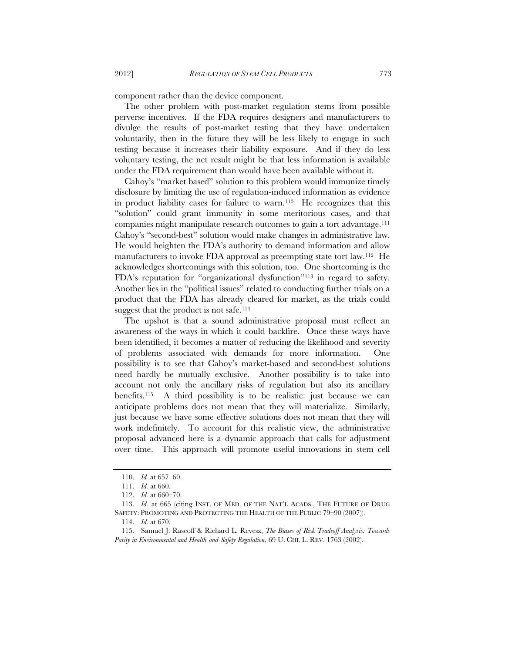component rather than the device component.

The other problem with post-market regulation stems from possible perverse incentives. If the FDA requires designers and manufacturers to divulge the results of post-market testing that they have undertaken voluntarily, then in the future they will be less likely to engage in such testing because it increases their liability exposure. And if they do less voluntary testing, the net result might be that less information is available under the FDA requirement than would have been available without it.

Cahoy's "market based" solution to this problem would immunize timely disclosure by limiting the use of regulation-induced information as evidence in product liability cases for failure to warn.110 He recognizes that this "solution" could grant immunity in some meritorious cases, and that companies might manipulate research outcomes to gain a tort advantage.111 Cahoy's "second-best" solution would make changes in administrative law. He would heighten the FDA's authority to demand information and allow manufacturers to invoke FDA approval as preempting state tort law.112 He acknowledges shortcomings with this solution, too. One shortcoming is the FDA's reputation for "organizational dysfunction"113 in regard to safety. Another lies in the "political issues" related to conducting further trials on a product that the FDA has already cleared for market, as the trials could suggest that the product is not safe.<sup>114</sup>

The upshot is that a sound administrative proposal must reflect an awareness of the ways in which it could backfire. Once these ways have been identified, it becomes a matter of reducing the likelihood and severity of problems associated with demands for more information. One possibility is to see that Cahoy's market-based and second-best solutions need hardly be mutually exclusive. Another possibility is to take into account not only the ancillary risks of regulation but also its ancillary benefits.115 A third possibility is to be realistic: just because we can anticipate problems does not mean that they will materialize. Similarly, just because we have some effective solutions does not mean that they will work indefinitely. To account for this realistic view, the administrative proposal advanced here is a dynamic approach that calls for adjustment over time. This approach will promote useful innovations in stem cell

 <sup>110.</sup> *Id.* at 657–60.

 <sup>111.</sup> *Id.* at 660.

 <sup>112.</sup> *Id.* at 660–70.

<sup>113.</sup> *Id.* at 665 (citing INST. OF MED. OF THE NAT'L ACADS., THE FUTURE OF DRUG SAFETY: PROMOTING AND PROTECTING THE HEALTH OF THE PUBLIC 79-90 (2007)).

 <sup>114.</sup> *Id.* at 670.

 <sup>115.</sup> Samuel J. Rascoff & Richard L. Revesz, *The Biases of Risk Tradeoff Analysis: Towards*  Parity in Environmental and Health-and-Safety Regulation, 69 U. CHI. L. REV. 1763 (2002).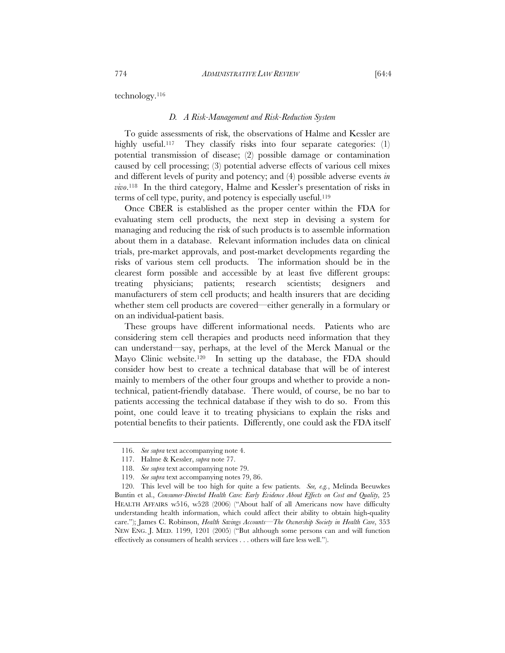technology.116

# *D. A Risk-Management and Risk-Reduction System*

To guide assessments of risk, the observations of Halme and Kessler are highly useful.<sup>117</sup> They classify risks into four separate categories: (1) potential transmission of disease; (2) possible damage or contamination caused by cell processing; (3) potential adverse effects of various cell mixes and different levels of purity and potency; and (4) possible adverse events *in vivo*.118 In the third category, Halme and Kessler's presentation of risks in terms of cell type, purity, and potency is especially useful.119

Once CBER is established as the proper center within the FDA for evaluating stem cell products, the next step in devising a system for managing and reducing the risk of such products is to assemble information about them in a database. Relevant information includes data on clinical trials, pre-market approvals, and post-market developments regarding the risks of various stem cell products. The information should be in the clearest form possible and accessible by at least five different groups: treating physicians; patients; research scientists; designers and manufacturers of stem cell products; and health insurers that are deciding whether stem cell products are covered—either generally in a formulary or on an individual-patient basis.

These groups have different informational needs. Patients who are considering stem cell therapies and products need information that they can understand—say, perhaps, at the level of the Merck Manual or the Mayo Clinic website.<sup>120</sup> In setting up the database, the FDA should consider how best to create a technical database that will be of interest mainly to members of the other four groups and whether to provide a nontechnical, patient-friendly database. There would, of course, be no bar to patients accessing the technical database if they wish to do so. From this point, one could leave it to treating physicians to explain the risks and potential benefits to their patients. Differently, one could ask the FDA itself

 <sup>116.</sup> *See supra* text accompanying note 4.

 <sup>117.</sup> Halme & Kessler, *supra* note 77.

 <sup>118.</sup> *See supra* text accompanying note 79.

 <sup>119.</sup> *See supra* text accompanying notes 79, 86.

 <sup>120.</sup> This level will be too high for quite a few patients. *See, e.g.*, Melinda Beeuwkes Buntin et al., *Consumer-Directed Health Care: Early Evidence About Effects on Cost and Quality*, 25 HEALTH AFFAIRS w516, w528 (2006) ("About half of all Americans now have difficulty understanding health information, which could affect their ability to obtain high-quality care."); James C. Robinson, *Health Savings Accounts—The Ownership Society in Health Care*, 353 NEW ENG. J. MED. 1199, 1201 (2005) ("But although some persons can and will function effectively as consumers of health services . . . others will fare less well.").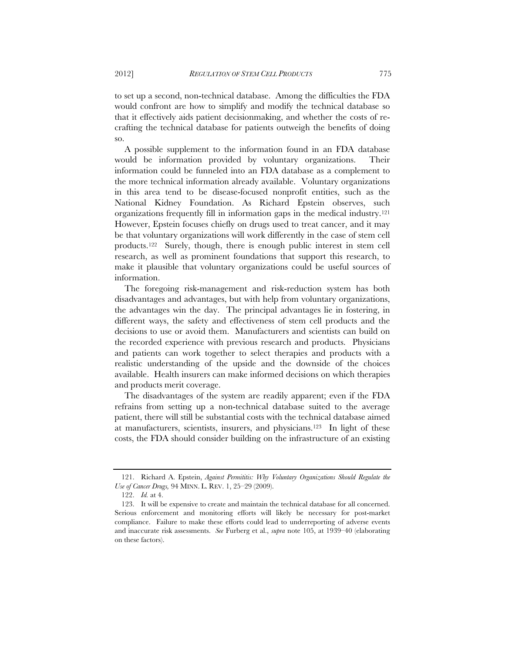to set up a second, non-technical database. Among the difficulties the FDA would confront are how to simplify and modify the technical database so that it effectively aids patient decisionmaking, and whether the costs of recrafting the technical database for patients outweigh the benefits of doing so.

A possible supplement to the information found in an FDA database would be information provided by voluntary organizations. Their information could be funneled into an FDA database as a complement to the more technical information already available. Voluntary organizations in this area tend to be disease-focused nonprofit entities, such as the National Kidney Foundation. As Richard Epstein observes, such organizations frequently fill in information gaps in the medical industry.121 However, Epstein focuses chiefly on drugs used to treat cancer, and it may be that voluntary organizations will work differently in the case of stem cell products.122 Surely, though, there is enough public interest in stem cell research, as well as prominent foundations that support this research, to make it plausible that voluntary organizations could be useful sources of information.

The foregoing risk-management and risk-reduction system has both disadvantages and advantages, but with help from voluntary organizations, the advantages win the day. The principal advantages lie in fostering, in different ways, the safety and effectiveness of stem cell products and the decisions to use or avoid them. Manufacturers and scientists can build on the recorded experience with previous research and products. Physicians and patients can work together to select therapies and products with a realistic understanding of the upside and the downside of the choices available. Health insurers can make informed decisions on which therapies and products merit coverage.

The disadvantages of the system are readily apparent; even if the FDA refrains from setting up a non-technical database suited to the average patient, there will still be substantial costs with the technical database aimed at manufacturers, scientists, insurers, and physicians.123 In light of these costs, the FDA should consider building on the infrastructure of an existing

 <sup>121.</sup> Richard A. Epstein, *Against Permititis: Why Voluntary Organizations Should Regulate the Use of Cancer Drugs,* 94 MINN. L. REV. 1, 25–29 (2009).

 <sup>122.</sup> *Id.* at 4.

 <sup>123.</sup> It will be expensive to create and maintain the technical database for all concerned. Serious enforcement and monitoring efforts will likely be necessary for post-market compliance. Failure to make these efforts could lead to underreporting of adverse events and inaccurate risk assessments. *See* Furberg et al., *supra* note 105, at 1939–40 (elaborating on these factors).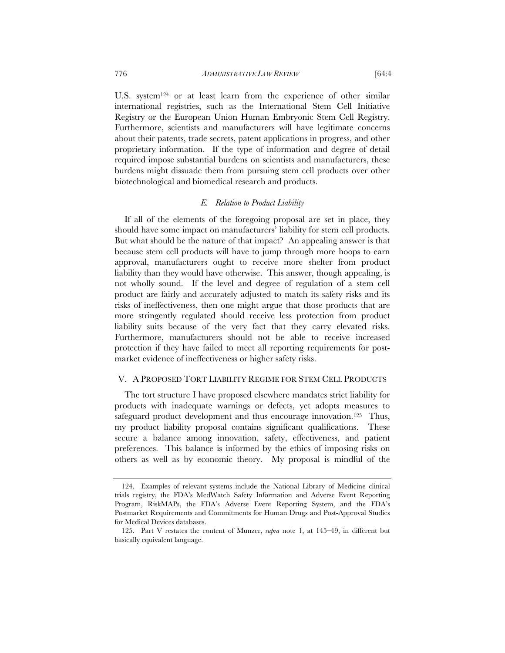U.S. system124 or at least learn from the experience of other similar international registries, such as the International Stem Cell Initiative Registry or the European Union Human Embryonic Stem Cell Registry. Furthermore, scientists and manufacturers will have legitimate concerns about their patents, trade secrets, patent applications in progress, and other proprietary information. If the type of information and degree of detail required impose substantial burdens on scientists and manufacturers, these burdens might dissuade them from pursuing stem cell products over other biotechnological and biomedical research and products.

## *E. Relation to Product Liability*

If all of the elements of the foregoing proposal are set in place, they should have some impact on manufacturers' liability for stem cell products. But what should be the nature of that impact? An appealing answer is that because stem cell products will have to jump through more hoops to earn approval, manufacturers ought to receive more shelter from product liability than they would have otherwise. This answer, though appealing, is not wholly sound. If the level and degree of regulation of a stem cell product are fairly and accurately adjusted to match its safety risks and its risks of ineffectiveness, then one might argue that those products that are more stringently regulated should receive less protection from product liability suits because of the very fact that they carry elevated risks. Furthermore, manufacturers should not be able to receive increased protection if they have failed to meet all reporting requirements for postmarket evidence of ineffectiveness or higher safety risks.

# V. A PROPOSED TORT LIABILITY REGIME FOR STEM CELL PRODUCTS

The tort structure I have proposed elsewhere mandates strict liability for products with inadequate warnings or defects, yet adopts measures to safeguard product development and thus encourage innovation.<sup>125</sup> Thus, my product liability proposal contains significant qualifications. These secure a balance among innovation, safety, effectiveness, and patient preferences. This balance is informed by the ethics of imposing risks on others as well as by economic theory. My proposal is mindful of the

 <sup>124.</sup> Examples of relevant systems include the National Library of Medicine clinical trials registry, the FDA's MedWatch Safety Information and Adverse Event Reporting Program, RiskMAPs, the FDA's Adverse Event Reporting System, and the FDA's Postmarket Requirements and Commitments for Human Drugs and Post-Approval Studies for Medical Devices databases.

 <sup>125.</sup> Part V restates the content of Munzer, *supra* note 1, at 145–49, in different but basically equivalent language.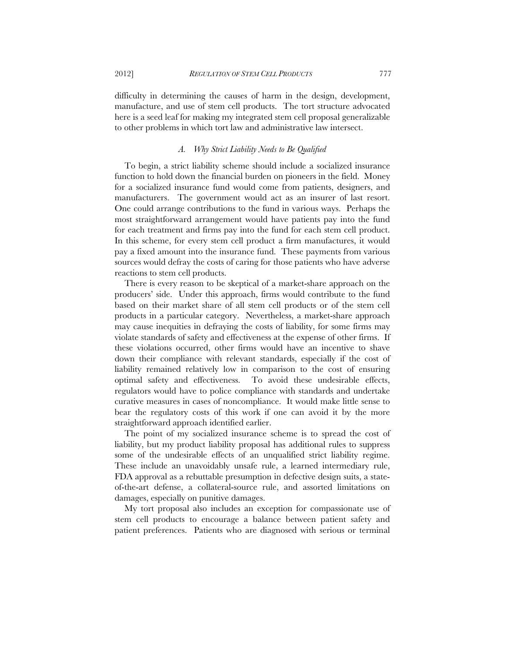difficulty in determining the causes of harm in the design, development, manufacture, and use of stem cell products. The tort structure advocated here is a seed leaf for making my integrated stem cell proposal generalizable to other problems in which tort law and administrative law intersect.

# *A. Why Strict Liability Needs to Be Qualified*

To begin, a strict liability scheme should include a socialized insurance function to hold down the financial burden on pioneers in the field. Money for a socialized insurance fund would come from patients, designers, and manufacturers. The government would act as an insurer of last resort. One could arrange contributions to the fund in various ways. Perhaps the most straightforward arrangement would have patients pay into the fund for each treatment and firms pay into the fund for each stem cell product. In this scheme, for every stem cell product a firm manufactures, it would pay a fixed amount into the insurance fund. These payments from various sources would defray the costs of caring for those patients who have adverse reactions to stem cell products.

There is every reason to be skeptical of a market-share approach on the producers' side. Under this approach, firms would contribute to the fund based on their market share of all stem cell products or of the stem cell products in a particular category. Nevertheless, a market-share approach may cause inequities in defraying the costs of liability, for some firms may violate standards of safety and effectiveness at the expense of other firms. If these violations occurred, other firms would have an incentive to shave down their compliance with relevant standards, especially if the cost of liability remained relatively low in comparison to the cost of ensuring optimal safety and effectiveness. To avoid these undesirable effects, regulators would have to police compliance with standards and undertake curative measures in cases of noncompliance. It would make little sense to bear the regulatory costs of this work if one can avoid it by the more straightforward approach identified earlier.

The point of my socialized insurance scheme is to spread the cost of liability, but my product liability proposal has additional rules to suppress some of the undesirable effects of an unqualified strict liability regime. These include an unavoidably unsafe rule, a learned intermediary rule, FDA approval as a rebuttable presumption in defective design suits, a stateof-the-art defense, a collateral-source rule, and assorted limitations on damages, especially on punitive damages.

My tort proposal also includes an exception for compassionate use of stem cell products to encourage a balance between patient safety and patient preferences. Patients who are diagnosed with serious or terminal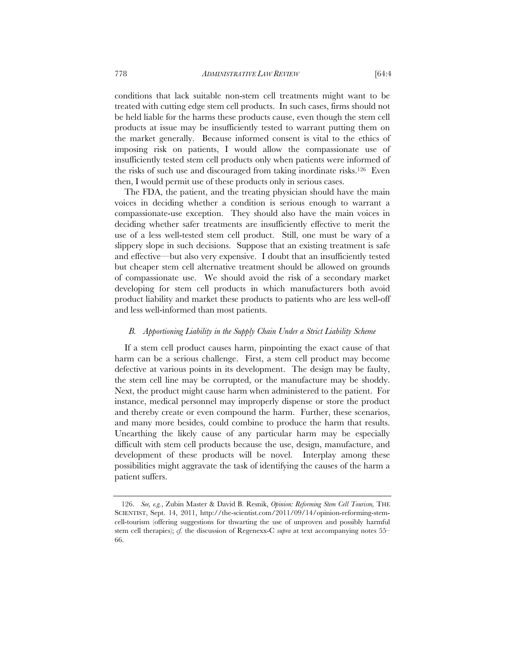conditions that lack suitable non-stem cell treatments might want to be treated with cutting edge stem cell products. In such cases, firms should not be held liable for the harms these products cause, even though the stem cell products at issue may be insufficiently tested to warrant putting them on the market generally. Because informed consent is vital to the ethics of imposing risk on patients, I would allow the compassionate use of insufficiently tested stem cell products only when patients were informed of the risks of such use and discouraged from taking inordinate risks.126 Even then, I would permit use of these products only in serious cases.

The FDA, the patient, and the treating physician should have the main voices in deciding whether a condition is serious enough to warrant a compassionate-use exception. They should also have the main voices in deciding whether safer treatments are insufficiently effective to merit the use of a less well-tested stem cell product. Still, one must be wary of a slippery slope in such decisions. Suppose that an existing treatment is safe and effective––but also very expensive. I doubt that an insufficiently tested but cheaper stem cell alternative treatment should be allowed on grounds of compassionate use. We should avoid the risk of a secondary market developing for stem cell products in which manufacturers both avoid product liability and market these products to patients who are less well-off and less well-informed than most patients.

# *B. Apportioning Liability in the Supply Chain Under a Strict Liability Scheme*

If a stem cell product causes harm, pinpointing the exact cause of that harm can be a serious challenge. First, a stem cell product may become defective at various points in its development. The design may be faulty, the stem cell line may be corrupted, or the manufacture may be shoddy. Next, the product might cause harm when administered to the patient. For instance, medical personnel may improperly dispense or store the product and thereby create or even compound the harm. Further, these scenarios, and many more besides, could combine to produce the harm that results. Unearthing the likely cause of any particular harm may be especially difficult with stem cell products because the use, design, manufacture, and development of these products will be novel. Interplay among these possibilities might aggravate the task of identifying the causes of the harm a patient suffers.

 <sup>126.</sup> *See, e.g.*, Zubin Master & David B. Resnik, *Opinion: Reforming Stem Cell Tourism,* THE SCIENTIST, Sept. 14, 2011, http://the-scientist.com/2011/09/14/opinion-reforming-stemcell-tourism (offering suggestions for thwarting the use of unproven and possibly harmful stem cell therapies); *cf.* the discussion of Regenexx-C *supra* at text accompanying notes 55– 66.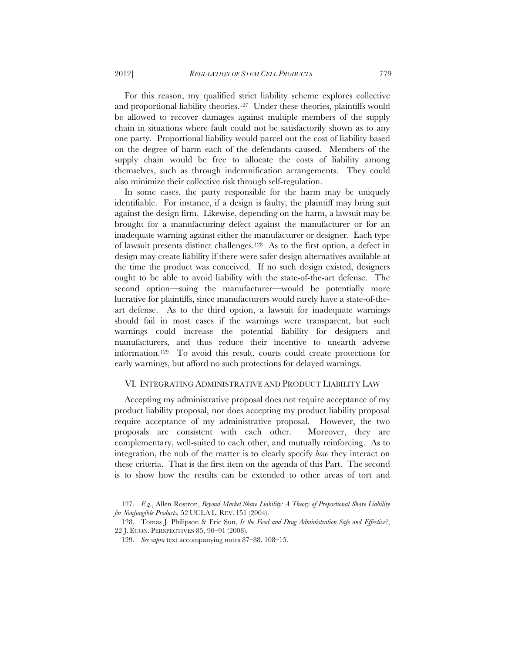For this reason, my qualified strict liability scheme explores collective and proportional liability theories.127 Under these theories, plaintiffs would be allowed to recover damages against multiple members of the supply chain in situations where fault could not be satisfactorily shown as to any one party. Proportional liability would parcel out the cost of liability based on the degree of harm each of the defendants caused. Members of the supply chain would be free to allocate the costs of liability among themselves, such as through indemnification arrangements. They could also minimize their collective risk through self-regulation.

In some cases, the party responsible for the harm may be uniquely identifiable. For instance, if a design is faulty, the plaintiff may bring suit against the design firm. Likewise, depending on the harm, a lawsuit may be brought for a manufacturing defect against the manufacturer or for an inadequate warning against either the manufacturer or designer. Each type of lawsuit presents distinct challenges.128 As to the first option, a defect in design may create liability if there were safer design alternatives available at the time the product was conceived. If no such design existed, designers ought to be able to avoid liability with the state-of-the-art defense. The second option––suing the manufacturer—would be potentially more lucrative for plaintiffs, since manufacturers would rarely have a state-of-theart defense. As to the third option, a lawsuit for inadequate warnings should fail in most cases if the warnings were transparent, but such warnings could increase the potential liability for designers and manufacturers, and thus reduce their incentive to unearth adverse information.129 To avoid this result, courts could create protections for early warnings, but afford no such protections for delayed warnings.

# VI. INTEGRATING ADMINISTRATIVE AND PRODUCT LIABILITY LAW

Accepting my administrative proposal does not require acceptance of my product liability proposal, nor does accepting my product liability proposal require acceptance of my administrative proposal. However, the two proposals are consistent with each other. Moreover, they are complementary, well-suited to each other, and mutually reinforcing. As to integration, the nub of the matter is to clearly specify *how* they interact on these criteria. That is the first item on the agenda of this Part. The second is to show how the results can be extended to other areas of tort and

 <sup>127.</sup> *E.g.*, Allen Rostron, *Beyond Market Share Liability: A Theory of Proportional Share Liability for Nonfungible Products,* 52 UCLA L. REV. 151 (2004).

 <sup>128.</sup> Tomas J. Philipson & Eric Sun, *Is the Food and Drug Administration Safe and Effective?*, 22 J. ECON. PERSPECTIVES 85, 90–91 (2008).

 <sup>129.</sup> *See supra* text accompanying notes 87–88, 108–15.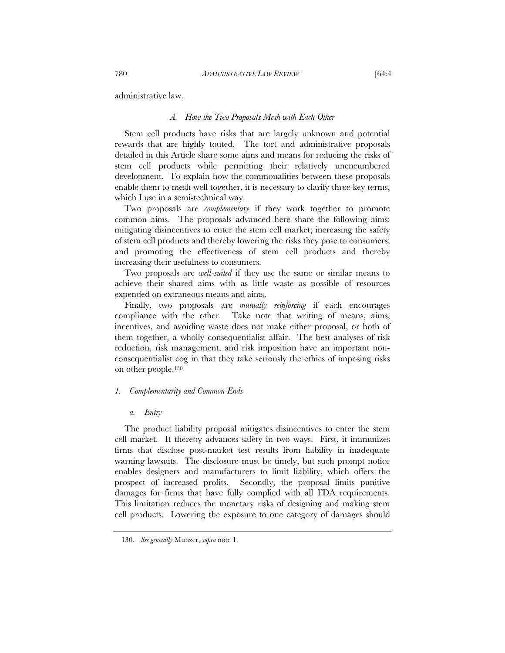administrative law.

#### *A. How the Two Proposals Mesh with Each Other*

Stem cell products have risks that are largely unknown and potential rewards that are highly touted. The tort and administrative proposals detailed in this Article share some aims and means for reducing the risks of stem cell products while permitting their relatively unencumbered development. To explain how the commonalities between these proposals enable them to mesh well together, it is necessary to clarify three key terms, which I use in a semi-technical way.

Two proposals are *complementary* if they work together to promote common aims. The proposals advanced here share the following aims: mitigating disincentives to enter the stem cell market; increasing the safety of stem cell products and thereby lowering the risks they pose to consumers; and promoting the effectiveness of stem cell products and thereby increasing their usefulness to consumers.

Two proposals are *well-suited* if they use the same or similar means to achieve their shared aims with as little waste as possible of resources expended on extraneous means and aims.

Finally, two proposals are *mutually reinforcing* if each encourages compliance with the other. Take note that writing of means, aims, incentives, and avoiding waste does not make either proposal, or both of them together, a wholly consequentialist affair. The best analyses of risk reduction, risk management, and risk imposition have an important nonconsequentialist cog in that they take seriously the ethics of imposing risks on other people.130

# *1. Complementarity and Common Ends*

# *a. Entry*

The product liability proposal mitigates disincentives to enter the stem cell market. It thereby advances safety in two ways. First, it immunizes firms that disclose post-market test results from liability in inadequate warning lawsuits. The disclosure must be timely, but such prompt notice enables designers and manufacturers to limit liability, which offers the prospect of increased profits. Secondly, the proposal limits punitive damages for firms that have fully complied with all FDA requirements. This limitation reduces the monetary risks of designing and making stem cell products. Lowering the exposure to one category of damages should

 <sup>130.</sup> *See generally* Munzer, *supra* note 1.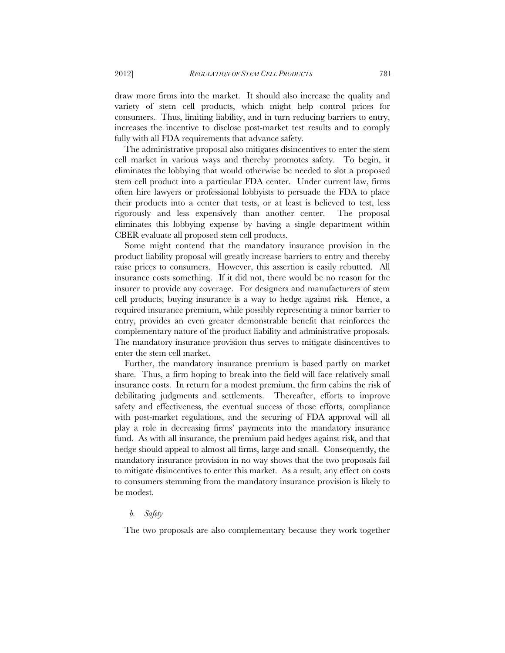draw more firms into the market. It should also increase the quality and variety of stem cell products, which might help control prices for consumers. Thus, limiting liability, and in turn reducing barriers to entry, increases the incentive to disclose post-market test results and to comply fully with all FDA requirements that advance safety.

The administrative proposal also mitigates disincentives to enter the stem cell market in various ways and thereby promotes safety. To begin, it eliminates the lobbying that would otherwise be needed to slot a proposed stem cell product into a particular FDA center. Under current law, firms often hire lawyers or professional lobbyists to persuade the FDA to place their products into a center that tests, or at least is believed to test, less rigorously and less expensively than another center. The proposal eliminates this lobbying expense by having a single department within CBER evaluate all proposed stem cell products.

Some might contend that the mandatory insurance provision in the product liability proposal will greatly increase barriers to entry and thereby raise prices to consumers. However, this assertion is easily rebutted. All insurance costs something. If it did not, there would be no reason for the insurer to provide any coverage. For designers and manufacturers of stem cell products, buying insurance is a way to hedge against risk. Hence, a required insurance premium, while possibly representing a minor barrier to entry, provides an even greater demonstrable benefit that reinforces the complementary nature of the product liability and administrative proposals. The mandatory insurance provision thus serves to mitigate disincentives to enter the stem cell market.

Further, the mandatory insurance premium is based partly on market share. Thus, a firm hoping to break into the field will face relatively small insurance costs. In return for a modest premium, the firm cabins the risk of debilitating judgments and settlements. Thereafter, efforts to improve safety and effectiveness, the eventual success of those efforts, compliance with post-market regulations, and the securing of FDA approval will all play a role in decreasing firms' payments into the mandatory insurance fund. As with all insurance, the premium paid hedges against risk, and that hedge should appeal to almost all firms, large and small. Consequently, the mandatory insurance provision in no way shows that the two proposals fail to mitigate disincentives to enter this market. As a result, any effect on costs to consumers stemming from the mandatory insurance provision is likely to be modest.

# *b. Safety*

The two proposals are also complementary because they work together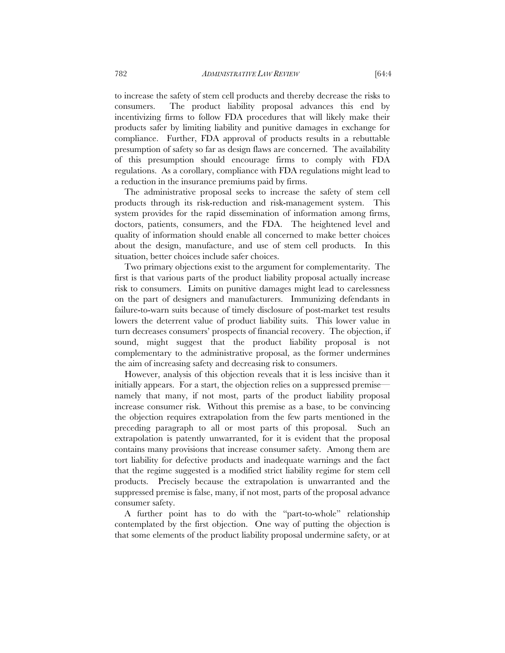to increase the safety of stem cell products and thereby decrease the risks to consumers. The product liability proposal advances this end by incentivizing firms to follow FDA procedures that will likely make their products safer by limiting liability and punitive damages in exchange for compliance. Further, FDA approval of products results in a rebuttable presumption of safety so far as design flaws are concerned. The availability of this presumption should encourage firms to comply with FDA regulations. As a corollary, compliance with FDA regulations might lead to a reduction in the insurance premiums paid by firms.

The administrative proposal seeks to increase the safety of stem cell products through its risk-reduction and risk-management system. This system provides for the rapid dissemination of information among firms, doctors, patients, consumers, and the FDA. The heightened level and quality of information should enable all concerned to make better choices about the design, manufacture, and use of stem cell products. In this situation, better choices include safer choices.

Two primary objections exist to the argument for complementarity. The first is that various parts of the product liability proposal actually increase risk to consumers. Limits on punitive damages might lead to carelessness on the part of designers and manufacturers. Immunizing defendants in failure-to-warn suits because of timely disclosure of post-market test results lowers the deterrent value of product liability suits. This lower value in turn decreases consumers' prospects of financial recovery. The objection, if sound, might suggest that the product liability proposal is not complementary to the administrative proposal, as the former undermines the aim of increasing safety and decreasing risk to consumers.

However, analysis of this objection reveals that it is less incisive than it initially appears. For a start, the objection relies on a suppressed premise namely that many, if not most, parts of the product liability proposal increase consumer risk. Without this premise as a base, to be convincing the objection requires extrapolation from the few parts mentioned in the preceding paragraph to all or most parts of this proposal. Such an extrapolation is patently unwarranted, for it is evident that the proposal contains many provisions that increase consumer safety. Among them are tort liability for defective products and inadequate warnings and the fact that the regime suggested is a modified strict liability regime for stem cell products. Precisely because the extrapolation is unwarranted and the suppressed premise is false, many, if not most, parts of the proposal advance consumer safety.

A further point has to do with the "part-to-whole" relationship contemplated by the first objection. One way of putting the objection is that some elements of the product liability proposal undermine safety, or at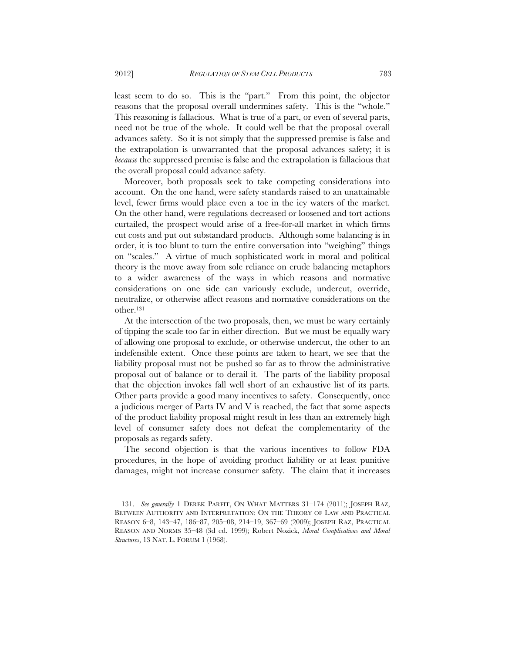least seem to do so. This is the "part." From this point, the objector reasons that the proposal overall undermines safety. This is the "whole." This reasoning is fallacious. What is true of a part, or even of several parts, need not be true of the whole. It could well be that the proposal overall advances safety. So it is not simply that the suppressed premise is false and the extrapolation is unwarranted that the proposal advances safety; it is *because* the suppressed premise is false and the extrapolation is fallacious that the overall proposal could advance safety.

Moreover, both proposals seek to take competing considerations into account. On the one hand, were safety standards raised to an unattainable level, fewer firms would place even a toe in the icy waters of the market. On the other hand, were regulations decreased or loosened and tort actions curtailed, the prospect would arise of a free-for-all market in which firms cut costs and put out substandard products. Although some balancing is in order, it is too blunt to turn the entire conversation into "weighing" things on "scales." A virtue of much sophisticated work in moral and political theory is the move away from sole reliance on crude balancing metaphors to a wider awareness of the ways in which reasons and normative considerations on one side can variously exclude, undercut, override, neutralize, or otherwise affect reasons and normative considerations on the other.131

At the intersection of the two proposals, then, we must be wary certainly of tipping the scale too far in either direction. But we must be equally wary of allowing one proposal to exclude, or otherwise undercut, the other to an indefensible extent. Once these points are taken to heart, we see that the liability proposal must not be pushed so far as to throw the administrative proposal out of balance or to derail it. The parts of the liability proposal that the objection invokes fall well short of an exhaustive list of its parts. Other parts provide a good many incentives to safety. Consequently, once a judicious merger of Parts IV and V is reached, the fact that some aspects of the product liability proposal might result in less than an extremely high level of consumer safety does not defeat the complementarity of the proposals as regards safety.

The second objection is that the various incentives to follow FDA procedures, in the hope of avoiding product liability or at least punitive damages, might not increase consumer safety. The claim that it increases

 <sup>131.</sup> *See generally* 1 DEREK PARFIT, ON WHAT MATTERS 31–174 (2011); JOSEPH RAZ, BETWEEN AUTHORITY AND INTERPRETATION: ON THE THEORY OF LAW AND PRACTICAL REASON 6–8, 143–47, 186–87, 205–08, 214–19, 367–69 (2009); JOSEPH RAZ, PRACTICAL REASON AND NORMS 35–48 (3d ed. 1999); Robert Nozick, *Moral Complications and Moral Structures*, 13 NAT. L. FORUM 1 (1968).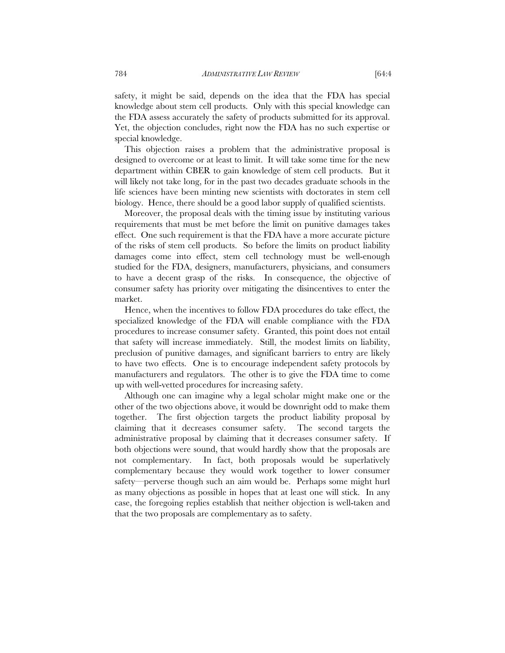safety, it might be said, depends on the idea that the FDA has special knowledge about stem cell products. Only with this special knowledge can the FDA assess accurately the safety of products submitted for its approval. Yet, the objection concludes, right now the FDA has no such expertise or special knowledge.

This objection raises a problem that the administrative proposal is designed to overcome or at least to limit. It will take some time for the new department within CBER to gain knowledge of stem cell products. But it will likely not take long, for in the past two decades graduate schools in the life sciences have been minting new scientists with doctorates in stem cell biology. Hence, there should be a good labor supply of qualified scientists.

Moreover, the proposal deals with the timing issue by instituting various requirements that must be met before the limit on punitive damages takes effect. One such requirement is that the FDA have a more accurate picture of the risks of stem cell products. So before the limits on product liability damages come into effect, stem cell technology must be well-enough studied for the FDA, designers, manufacturers, physicians, and consumers to have a decent grasp of the risks. In consequence, the objective of consumer safety has priority over mitigating the disincentives to enter the market.

Hence, when the incentives to follow FDA procedures do take effect, the specialized knowledge of the FDA will enable compliance with the FDA procedures to increase consumer safety. Granted, this point does not entail that safety will increase immediately. Still, the modest limits on liability, preclusion of punitive damages, and significant barriers to entry are likely to have two effects. One is to encourage independent safety protocols by manufacturers and regulators. The other is to give the FDA time to come up with well-vetted procedures for increasing safety.

Although one can imagine why a legal scholar might make one or the other of the two objections above, it would be downright odd to make them together. The first objection targets the product liability proposal by claiming that it decreases consumer safety. The second targets the administrative proposal by claiming that it decreases consumer safety. If both objections were sound, that would hardly show that the proposals are not complementary. In fact, both proposals would be superlatively complementary because they would work together to lower consumer safety—perverse though such an aim would be. Perhaps some might hurl as many objections as possible in hopes that at least one will stick. In any case, the foregoing replies establish that neither objection is well-taken and that the two proposals are complementary as to safety.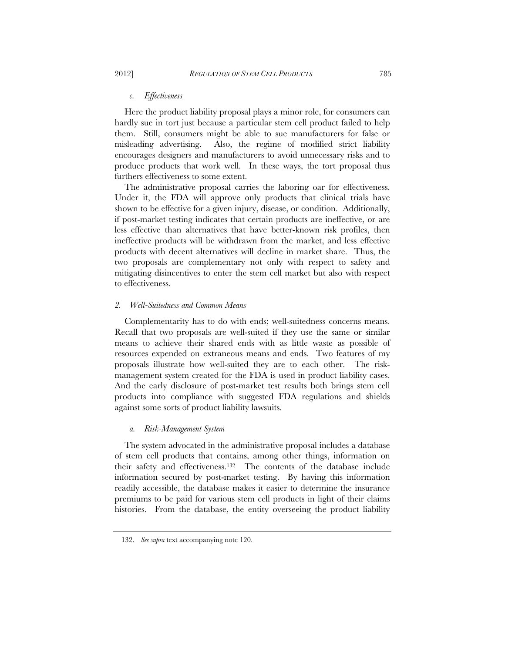# *c. Effectiveness*

Here the product liability proposal plays a minor role, for consumers can hardly sue in tort just because a particular stem cell product failed to help them. Still, consumers might be able to sue manufacturers for false or misleading advertising. Also, the regime of modified strict liability encourages designers and manufacturers to avoid unnecessary risks and to produce products that work well. In these ways, the tort proposal thus furthers effectiveness to some extent.

The administrative proposal carries the laboring oar for effectiveness. Under it, the FDA will approve only products that clinical trials have shown to be effective for a given injury, disease, or condition. Additionally, if post-market testing indicates that certain products are ineffective, or are less effective than alternatives that have better-known risk profiles, then ineffective products will be withdrawn from the market, and less effective products with decent alternatives will decline in market share. Thus, the two proposals are complementary not only with respect to safety and mitigating disincentives to enter the stem cell market but also with respect to effectiveness.

# *2. Well-Suitedness and Common Means*

Complementarity has to do with ends; well-suitedness concerns means. Recall that two proposals are well-suited if they use the same or similar means to achieve their shared ends with as little waste as possible of resources expended on extraneous means and ends. Two features of my proposals illustrate how well-suited they are to each other. The riskmanagement system created for the FDA is used in product liability cases. And the early disclosure of post-market test results both brings stem cell products into compliance with suggested FDA regulations and shields against some sorts of product liability lawsuits.

## *a. Risk-Management System*

The system advocated in the administrative proposal includes a database of stem cell products that contains, among other things, information on their safety and effectiveness.132 The contents of the database include information secured by post-market testing. By having this information readily accessible, the database makes it easier to determine the insurance premiums to be paid for various stem cell products in light of their claims histories. From the database, the entity overseeing the product liability

 <sup>132.</sup> *See supra* text accompanying note 120.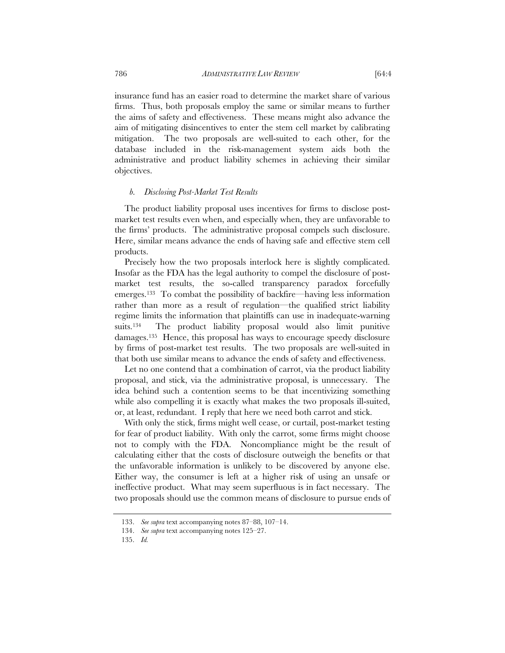insurance fund has an easier road to determine the market share of various firms. Thus, both proposals employ the same or similar means to further the aims of safety and effectiveness. These means might also advance the aim of mitigating disincentives to enter the stem cell market by calibrating mitigation. The two proposals are well-suited to each other, for the database included in the risk-management system aids both the administrative and product liability schemes in achieving their similar objectives.

# *b. Disclosing Post-Market Test Results*

The product liability proposal uses incentives for firms to disclose postmarket test results even when, and especially when, they are unfavorable to the firms' products. The administrative proposal compels such disclosure. Here, similar means advance the ends of having safe and effective stem cell products.

Precisely how the two proposals interlock here is slightly complicated. Insofar as the FDA has the legal authority to compel the disclosure of postmarket test results, the so-called transparency paradox forcefully emerges.133 To combat the possibility of backfire—having less information rather than more as a result of regulation—the qualified strict liability regime limits the information that plaintiffs can use in inadequate-warning suits.134 The product liability proposal would also limit punitive damages.135 Hence, this proposal has ways to encourage speedy disclosure by firms of post-market test results. The two proposals are well-suited in that both use similar means to advance the ends of safety and effectiveness.

Let no one contend that a combination of carrot, via the product liability proposal, and stick, via the administrative proposal, is unnecessary. The idea behind such a contention seems to be that incentivizing something while also compelling it is exactly what makes the two proposals ill-suited, or, at least, redundant. I reply that here we need both carrot and stick.

With only the stick, firms might well cease, or curtail, post-market testing for fear of product liability. With only the carrot, some firms might choose not to comply with the FDA. Noncompliance might be the result of calculating either that the costs of disclosure outweigh the benefits or that the unfavorable information is unlikely to be discovered by anyone else. Either way, the consumer is left at a higher risk of using an unsafe or ineffective product. What may seem superfluous is in fact necessary. The two proposals should use the common means of disclosure to pursue ends of

 <sup>133.</sup> *See supra* text accompanying notes 87–88, 107–14.

 <sup>134.</sup> *See supra* text accompanying notes 125–27.

 <sup>135.</sup> *Id.*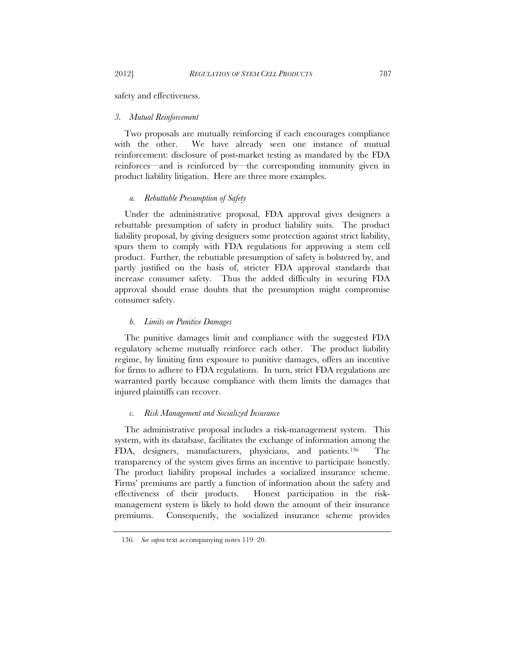safety and effectiveness.

# *3. Mutual Reinforcement*

Two proposals are mutually reinforcing if each encourages compliance with the other. We have already seen one instance of mutual reinforcement: disclosure of post-market testing as mandated by the FDA reinforces—and is reinforced by—the corresponding immunity given in product liability litigation. Here are three more examples.

# *a. Rebuttable Presumption of Safety*

Under the administrative proposal, FDA approval gives designers a rebuttable presumption of safety in product liability suits. The product liability proposal, by giving designers some protection against strict liability, spurs them to comply with FDA regulations for approving a stem cell product. Further, the rebuttable presumption of safety is bolstered by, and partly justified on the basis of, stricter FDA approval standards that increase consumer safety. Thus the added difficulty in securing FDA approval should erase doubts that the presumption might compromise consumer safety.

# *b. Limits on Punitive Damages*

The punitive damages limit and compliance with the suggested FDA regulatory scheme mutually reinforce each other. The product liability regime, by limiting firm exposure to punitive damages, offers an incentive for firms to adhere to FDA regulations. In turn, strict FDA regulations are warranted partly because compliance with them limits the damages that injured plaintiffs can recover.

# *c. Risk Management and Socialized Insurance*

The administrative proposal includes a risk-management system. This system, with its database, facilitates the exchange of information among the FDA, designers, manufacturers, physicians, and patients.136 The transparency of the system gives firms an incentive to participate honestly. The product liability proposal includes a socialized insurance scheme. Firms' premiums are partly a function of information about the safety and effectiveness of their products. Honest participation in the riskmanagement system is likely to hold down the amount of their insurance premiums. Consequently, the socialized insurance scheme provides

 <sup>136.</sup> *See supra* text accompanying notes 119–20.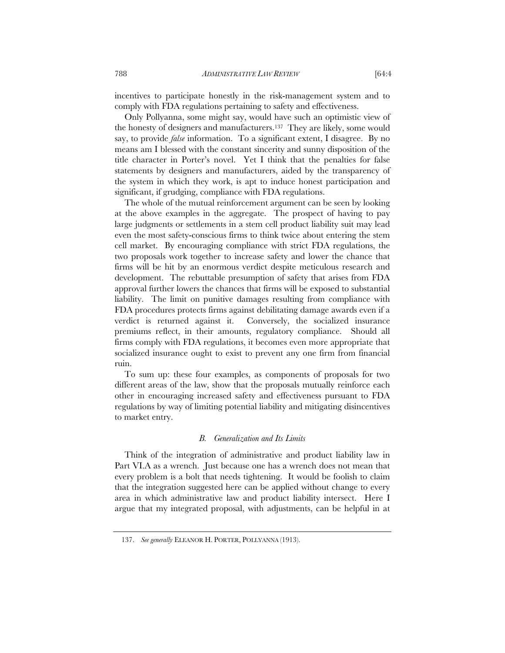incentives to participate honestly in the risk-management system and to comply with FDA regulations pertaining to safety and effectiveness.

Only Pollyanna, some might say, would have such an optimistic view of the honesty of designers and manufacturers.137 They are likely, some would say, to provide *false* information. To a significant extent, I disagree. By no means am I blessed with the constant sincerity and sunny disposition of the title character in Porter's novel. Yet I think that the penalties for false statements by designers and manufacturers, aided by the transparency of the system in which they work, is apt to induce honest participation and significant, if grudging, compliance with FDA regulations.

The whole of the mutual reinforcement argument can be seen by looking at the above examples in the aggregate. The prospect of having to pay large judgments or settlements in a stem cell product liability suit may lead even the most safety-conscious firms to think twice about entering the stem cell market. By encouraging compliance with strict FDA regulations, the two proposals work together to increase safety and lower the chance that firms will be hit by an enormous verdict despite meticulous research and development. The rebuttable presumption of safety that arises from FDA approval further lowers the chances that firms will be exposed to substantial liability. The limit on punitive damages resulting from compliance with FDA procedures protects firms against debilitating damage awards even if a verdict is returned against it. Conversely, the socialized insurance premiums reflect, in their amounts, regulatory compliance. Should all firms comply with FDA regulations, it becomes even more appropriate that socialized insurance ought to exist to prevent any one firm from financial ruin.

To sum up: these four examples, as components of proposals for two different areas of the law, show that the proposals mutually reinforce each other in encouraging increased safety and effectiveness pursuant to FDA regulations by way of limiting potential liability and mitigating disincentives to market entry.

# *B. Generalization and Its Limits*

Think of the integration of administrative and product liability law in Part VI.A as a wrench. Just because one has a wrench does not mean that every problem is a bolt that needs tightening. It would be foolish to claim that the integration suggested here can be applied without change to every area in which administrative law and product liability intersect. Here I argue that my integrated proposal, with adjustments, can be helpful in at

 <sup>137.</sup> *See generally* ELEANOR H. PORTER, POLLYANNA (1913).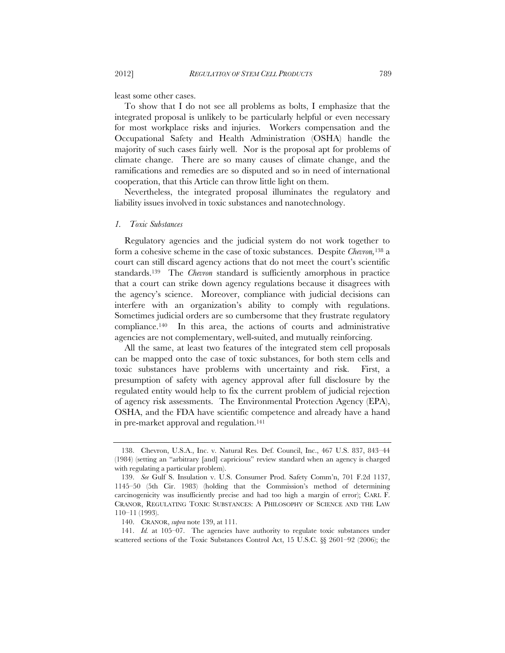least some other cases.

To show that I do not see all problems as bolts, I emphasize that the integrated proposal is unlikely to be particularly helpful or even necessary for most workplace risks and injuries. Workers compensation and the Occupational Safety and Health Administration (OSHA) handle the majority of such cases fairly well. Nor is the proposal apt for problems of climate change. There are so many causes of climate change, and the ramifications and remedies are so disputed and so in need of international cooperation, that this Article can throw little light on them.

Nevertheless, the integrated proposal illuminates the regulatory and liability issues involved in toxic substances and nanotechnology.

# *1. Toxic Substances*

Regulatory agencies and the judicial system do not work together to form a cohesive scheme in the case of toxic substances. Despite *Chevron,*<sup>138</sup> a court can still discard agency actions that do not meet the court's scientific standards.139 The *Chevron* standard is sufficiently amorphous in practice that a court can strike down agency regulations because it disagrees with the agency's science. Moreover, compliance with judicial decisions can interfere with an organization's ability to comply with regulations. Sometimes judicial orders are so cumbersome that they frustrate regulatory compliance.140 In this area, the actions of courts and administrative agencies are not complementary, well-suited, and mutually reinforcing.

All the same, at least two features of the integrated stem cell proposals can be mapped onto the case of toxic substances, for both stem cells and toxic substances have problems with uncertainty and risk. First, a presumption of safety with agency approval after full disclosure by the regulated entity would help to fix the current problem of judicial rejection of agency risk assessments. The Environmental Protection Agency (EPA), OSHA, and the FDA have scientific competence and already have a hand in pre-market approval and regulation.<sup>141</sup>

 141. *Id.* at 105–07. The agencies have authority to regulate toxic substances under scattered sections of the Toxic Substances Control Act, 15 U.S.C. §§ 2601–92 (2006); the

 <sup>138.</sup> Chevron, U.S.A., Inc. v. Natural Res. Def. Council, Inc., 467 U.S. 837, 843–44 (1984) (setting an "arbitrary [and] capricious" review standard when an agency is charged with regulating a particular problem).

 <sup>139.</sup> *See* Gulf S. Insulation v. U.S. Consumer Prod. Safety Comm'n, 701 F.2d 1137, 1145–50 (5th Cir. 1983) (holding that the Commission's method of determining carcinogenicity was insufficiently precise and had too high a margin of error); CARL F. CRANOR, REGULATING TOXIC SUBSTANCES: A PHILOSOPHY OF SCIENCE AND THE LAW 110–11 (1993).

 <sup>140.</sup> CRANOR, *supra* note 139, at 111.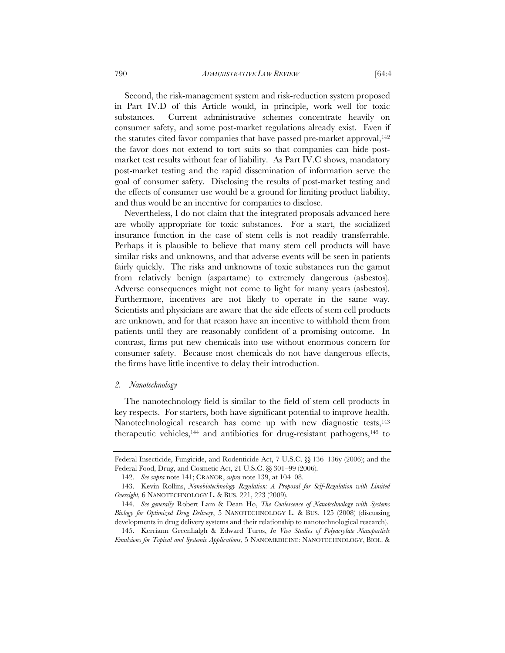Second, the risk-management system and risk-reduction system proposed in Part IV.D of this Article would, in principle, work well for toxic substances. Current administrative schemes concentrate heavily on consumer safety, and some post-market regulations already exist. Even if the statutes cited favor companies that have passed pre-market approval,<sup>142</sup> the favor does not extend to tort suits so that companies can hide postmarket test results without fear of liability. As Part IV.C shows, mandatory post-market testing and the rapid dissemination of information serve the goal of consumer safety. Disclosing the results of post-market testing and the effects of consumer use would be a ground for limiting product liability, and thus would be an incentive for companies to disclose.

Nevertheless, I do not claim that the integrated proposals advanced here are wholly appropriate for toxic substances. For a start, the socialized insurance function in the case of stem cells is not readily transferrable. Perhaps it is plausible to believe that many stem cell products will have similar risks and unknowns, and that adverse events will be seen in patients fairly quickly. The risks and unknowns of toxic substances run the gamut from relatively benign (aspartame) to extremely dangerous (asbestos). Adverse consequences might not come to light for many years (asbestos). Furthermore, incentives are not likely to operate in the same way. Scientists and physicians are aware that the side effects of stem cell products are unknown, and for that reason have an incentive to withhold them from patients until they are reasonably confident of a promising outcome. In contrast, firms put new chemicals into use without enormous concern for consumer safety. Because most chemicals do not have dangerous effects, the firms have little incentive to delay their introduction.

# *2. Nanotechnology*

The nanotechnology field is similar to the field of stem cell products in key respects. For starters, both have significant potential to improve health. Nanotechnological research has come up with new diagnostic tests,<sup>143</sup> therapeutic vehicles,<sup>144</sup> and antibiotics for drug-resistant pathogens,<sup>145</sup> to

Federal Insecticide, Fungicide, and Rodenticide Act, 7 U.S.C. §§ 136–136y (2006); and the Federal Food, Drug, and Cosmetic Act, 21 U.S.C. §§ 301–99 (2006).

 <sup>142.</sup> *See supra* note 141; CRANOR, *supra* note 139, at 104–08.

 <sup>143.</sup> Kevin Rollins, *Nanobiotechnology Regulation: A Proposal for Self-Regulation with Limited Oversight,* 6 NANOTECHNOLOGY L. & BUS. 221, 223 (2009).

 <sup>144.</sup> *See generally* Robert Lam & Dean Ho, *The Coalescence of Nanotechnology with Systems Biology for Optimized Drug Delivery*, 5 NANOTECHNOLOGY L. & BUS. 125 (2008) (discussing developments in drug delivery systems and their relationship to nanotechnological research).

 <sup>145.</sup> Kerriann Greenhalgh & Edward Turos, *In Vivo Studies of Polyacrylate Nanoparticle Emulsions for Topical and Systemic Applications*, 5 NANOMEDICINE: NANOTECHNOLOGY, BIOL. &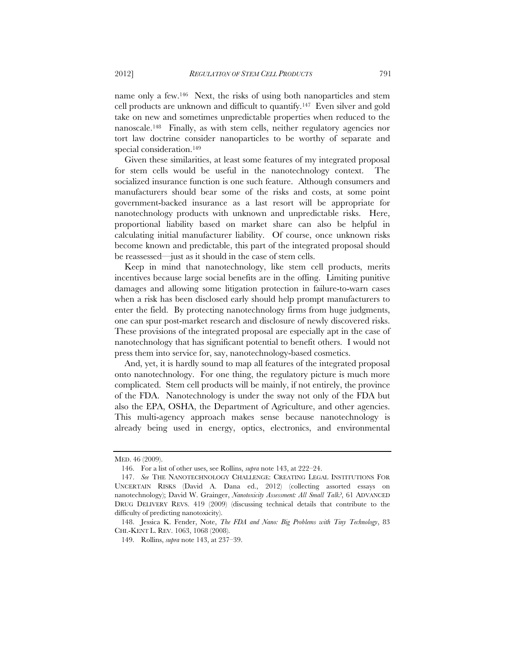name only a few.146 Next, the risks of using both nanoparticles and stem cell products are unknown and difficult to quantify.147 Even silver and gold take on new and sometimes unpredictable properties when reduced to the nanoscale.148 Finally, as with stem cells, neither regulatory agencies nor tort law doctrine consider nanoparticles to be worthy of separate and special consideration.<sup>149</sup>

Given these similarities, at least some features of my integrated proposal for stem cells would be useful in the nanotechnology context. The socialized insurance function is one such feature. Although consumers and manufacturers should bear some of the risks and costs, at some point government-backed insurance as a last resort will be appropriate for nanotechnology products with unknown and unpredictable risks. Here, proportional liability based on market share can also be helpful in calculating initial manufacturer liability. Of course, once unknown risks become known and predictable, this part of the integrated proposal should be reassessed—just as it should in the case of stem cells.

Keep in mind that nanotechnology, like stem cell products, merits incentives because large social benefits are in the offing. Limiting punitive damages and allowing some litigation protection in failure-to-warn cases when a risk has been disclosed early should help prompt manufacturers to enter the field. By protecting nanotechnology firms from huge judgments, one can spur post-market research and disclosure of newly discovered risks. These provisions of the integrated proposal are especially apt in the case of nanotechnology that has significant potential to benefit others. I would not press them into service for, say, nanotechnology-based cosmetics.

And, yet, it is hardly sound to map all features of the integrated proposal onto nanotechnology. For one thing, the regulatory picture is much more complicated. Stem cell products will be mainly, if not entirely, the province of the FDA. Nanotechnology is under the sway not only of the FDA but also the EPA, OSHA, the Department of Agriculture, and other agencies. This multi-agency approach makes sense because nanotechnology is already being used in energy, optics, electronics, and environmental

MED. 46 (2009).

 <sup>146.</sup> For a list of other uses, see Rollins, *supra* note 143, at 222–24.

 <sup>147.</sup> *See* THE NANOTECHNOLOGY CHALLENGE: CREATING LEGAL INSTITUTIONS FOR UNCERTAIN RISKS (David A. Dana ed., 2012) (collecting assorted essays on nanotechnology); David W. Grainger, *Nanotoxicity Assessment: All Small Talk?*, 61 ADVANCED DRUG DELIVERY REVS. 419 (2009) (discussing technical details that contribute to the difficulty of predicting nanotoxicity).

 <sup>148.</sup> Jessica K. Fender, Note, *The FDA and Nano: Big Problems with Tiny Technology*, 83 CHI.-KENT L. REV. 1063, 1068 (2008).

 <sup>149.</sup> Rollins, *supra* note 143, at 237–39.